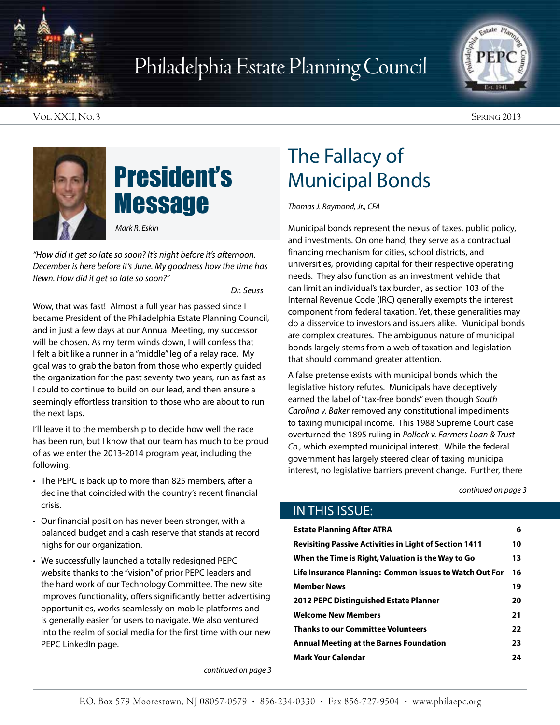

## Philadelphia Estate Planning Council



Vol. XXII, No. 3 Spring 2013



## President's **Message**

*Mark R. Eskin*

*"How did it get so late so soon? It's night before it's afternoon. December is here before it's June. My goodness how the time has flewn. How did it get so late so soon?"*

*Dr. Seuss*

Wow, that was fast! Almost a full year has passed since I became President of the Philadelphia Estate Planning Council, and in just a few days at our Annual Meeting, my successor will be chosen. As my term winds down, I will confess that I felt a bit like a runner in a "middle" leg of a relay race. My goal was to grab the baton from those who expertly guided the organization for the past seventy two years, run as fast as I could to continue to build on our lead, and then ensure a seemingly effortless transition to those who are about to run the next laps.

I'll leave it to the membership to decide how well the race has been run, but I know that our team has much to be proud of as we enter the 2013-2014 program year, including the following:

- The PEPC is back up to more than 825 members, after a decline that coincided with the country's recent financial crisis.
- Our financial position has never been stronger, with a balanced budget and a cash reserve that stands at record highs for our organization.
- We successfully launched a totally redesigned PEPC website thanks to the "vision" of prior PEPC leaders and the hard work of our Technology Committee. The new site improves functionality, offers significantly better advertising opportunities, works seamlessly on mobile platforms and is generally easier for users to navigate. We also ventured into the realm of social media for the first time with our new PEPC LinkedIn page.

*continued on page 3*

### The Fallacy of Municipal Bonds

*Thomas J. Raymond, Jr., CFA*

Municipal bonds represent the nexus of taxes, public policy, and investments. On one hand, they serve as a contractual financing mechanism for cities, school districts, and universities, providing capital for their respective operating needs. They also function as an investment vehicle that can limit an individual's tax burden, as section 103 of the Internal Revenue Code (IRC) generally exempts the interest component from federal taxation. Yet, these generalities may do a disservice to investors and issuers alike. Municipal bonds are complex creatures. The ambiguous nature of municipal bonds largely stems from a web of taxation and legislation that should command greater attention.

A false pretense exists with municipal bonds which the legislative history refutes. Municipals have deceptively earned the label of "tax-free bonds" even though *South Carolina v. Baker* removed any constitutional impediments to taxing municipal income. This 1988 Supreme Court case overturned the 1895 ruling in *Pollock v. Farmers Loan & Trust Co.,* which exempted municipal interest. While the federal government has largely steered clear of taxing municipal interest, no legislative barriers prevent change. Further, there

*continued on page 3*

#### In This Issue:

| <b>Estate Planning After ATRA</b>                             | 6  |
|---------------------------------------------------------------|----|
| <b>Revisiting Passive Activities in Light of Section 1411</b> | 10 |
| When the Time is Right, Valuation is the Way to Go            | 13 |
| Life Insurance Planning: Common Issues to Watch Out For       | 16 |
| <b>Member News</b>                                            | 19 |
| <b>2012 PEPC Distinguished Estate Planner</b>                 | 20 |
| <b>Welcome New Members</b>                                    | 21 |
| <b>Thanks to our Committee Volunteers</b>                     | 22 |
| Annual Meeting at the Barnes Foundation                       | 23 |
| <b>Mark Your Calendar</b>                                     | 24 |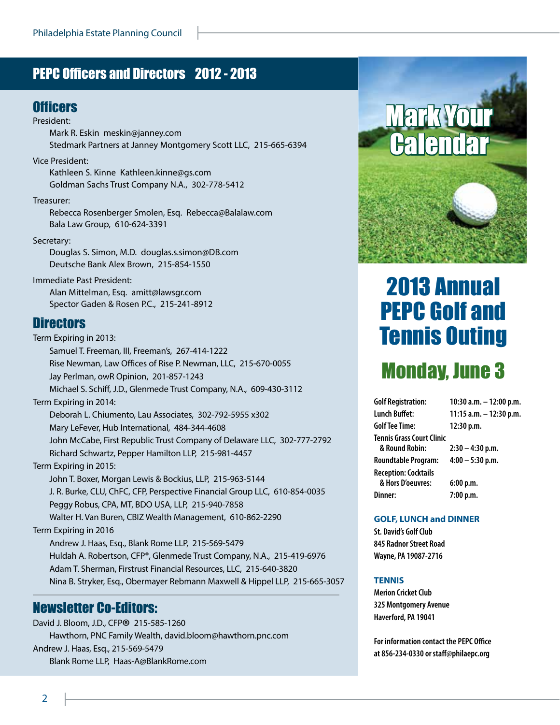### PEPC Officers and Directors 2012 - 2013

#### **Officers**

President:

- Mark R. Eskin meskin@janney.com Stedmark Partners at Janney Montgomery Scott LLC, 215-665-6394
- Vice President:

Kathleen S. Kinne Kathleen.kinne@gs.com Goldman Sachs Trust Company N.A., 302-778-5412

#### Treasurer:

Rebecca Rosenberger Smolen, Esq. Rebecca@Balalaw.com Bala Law Group, 610-624-3391

#### Secretary:

Douglas S. Simon, M.D. douglas.s.simon@DB.com Deutsche Bank Alex Brown, 215-854-1550

Immediate Past President: Alan Mittelman, Esq. amitt@lawsgr.com Spector Gaden & Rosen P.C., 215-241-8912

#### **Directors**

Term Expiring in 2013: Samuel T. Freeman, III, Freeman's, 267-414-1222 Rise Newman, Law Offices of Rise P. Newman, LLC, 215-670-0055 Jay Perlman, owR Opinion, 201-857-1243 Michael S. Schiff, J.D., Glenmede Trust Company, N.A., 609-430-3112 Term Expiring in 2014: Deborah L. Chiumento, Lau Associates, 302-792-5955 x302 Mary LeFever, Hub International, 484-344-4608 John McCabe, First Republic Trust Company of Delaware LLC, 302-777-2792 Richard Schwartz, Pepper Hamilton LLP, 215-981-4457 Term Expiring in 2015: John T. Boxer, Morgan Lewis & Bockius, LLP, 215-963-5144 J. R. Burke, CLU, ChFC, CFP, Perspective Financial Group LLC, 610-854-0035 Peggy Robus, CPA, MT, BDO USA, LLP, 215-940-7858 Walter H. Van Buren, CBIZ Wealth Management, 610-862-2290 Term Expiring in 2016 Andrew J. Haas, Esq., Blank Rome LLP, 215-569-5479 Huldah A. Robertson, CFP®, Glenmede Trust Company, N.A., 215-419-6976 Adam T. Sherman, Firstrust Financial Resources, LLC, 215-640-3820 Nina B. Stryker, Esq., Obermayer Rebmann Maxwell & Hippel LLP, 215-665-3057

#### Newsletter Co-Editors:

David J. Bloom, J.D., CFP® 215-585-1260 Hawthorn, PNC Family Wealth, david.bloom@hawthorn.pnc.com Andrew J. Haas, Esq., 215-569-5479 Blank Rome LLP, Haas-A@BlankRome.com



## 2013 Annual PEPC Golf and Tennis Outing

### Monday, June 3

| <b>Golf Registration:</b>                          | 10:30 a.m. - 12:00 p.m.   |
|----------------------------------------------------|---------------------------|
| <b>Lunch Buffet:</b>                               | 11:15 a.m. $-$ 12:30 p.m. |
| <b>Golf Tee Time:</b>                              | 12:30 p.m.                |
| <b>Tennis Grass Court Clinic</b><br>& Round Robin: | $2:30 - 4:30$ p.m.        |
| <b>Roundtable Program:</b>                         | $4:00 - 5:30$ p.m.        |
| <b>Reception: Cocktails</b><br>& Hors D'oeuvres:   | 6:00 p.m.                 |
| Dinner:                                            | 7:00 p.m.                 |

#### **GOLF, LUNCH and DINNER**

**St. David's Golf Club 845 Radnor Street Road Wayne, PA 19087-2716** 

#### **TENNIS**

**Merion Cricket Club 325 Montgomery Avenue Haverford, PA 19041**

**For information contact the PEPC Office at 856-234-0330 or staff@philaepc.org**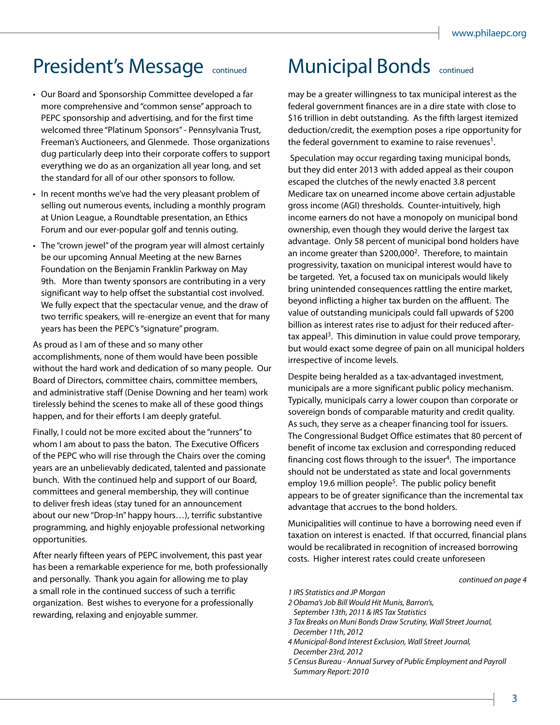### President's Message continued Municipal Bonds continued

- Our Board and Sponsorship Committee developed a far more comprehensive and "common sense" approach to PEPC sponsorship and advertising, and for the first time welcomed three "Platinum Sponsors" - Pennsylvania Trust, Freeman's Auctioneers, and Glenmede. Those organizations dug particularly deep into their corporate coffers to support everything we do as an organization all year long, and set the standard for all of our other sponsors to follow.
- In recent months we've had the very pleasant problem of selling out numerous events, including a monthly program at Union League, a Roundtable presentation, an Ethics Forum and our ever-popular golf and tennis outing.
- The "crown jewel" of the program year will almost certainly be our upcoming Annual Meeting at the new Barnes Foundation on the Benjamin Franklin Parkway on May 9th. More than twenty sponsors are contributing in a very significant way to help offset the substantial cost involved. We fully expect that the spectacular venue, and the draw of two terrific speakers, will re-energize an event that for many years has been the PEPC's "signature" program.

As proud as I am of these and so many other accomplishments, none of them would have been possible without the hard work and dedication of so many people. Our Board of Directors, committee chairs, committee members, and administrative staff (Denise Downing and her team) work tirelessly behind the scenes to make all of these good things happen, and for their efforts I am deeply grateful.

Finally, I could not be more excited about the "runners" to whom I am about to pass the baton. The Executive Officers of the PEPC who will rise through the Chairs over the coming years are an unbelievably dedicated, talented and passionate bunch. With the continued help and support of our Board, committees and general membership, they will continue to deliver fresh ideas (stay tuned for an announcement about our new "Drop-In" happy hours…), terrific substantive programming, and highly enjoyable professional networking opportunities.

After nearly fifteen years of PEPC involvement, this past year has been a remarkable experience for me, both professionally and personally. Thank you again for allowing me to play a small role in the continued success of such a terrific organization. Best wishes to everyone for a professionally rewarding, relaxing and enjoyable summer.

may be a greater willingness to tax municipal interest as the federal government finances are in a dire state with close to \$16 trillion in debt outstanding. As the fifth largest itemized deduction/credit, the exemption poses a ripe opportunity for the federal government to examine to raise revenues<sup>1</sup>.

 Speculation may occur regarding taxing municipal bonds, but they did enter 2013 with added appeal as their coupon escaped the clutches of the newly enacted 3.8 percent Medicare tax on unearned income above certain adjustable gross income (AGI) thresholds. Counter-intuitively, high income earners do not have a monopoly on municipal bond ownership, even though they would derive the largest tax advantage. Only 58 percent of municipal bond holders have an income greater than  $$200,000^2$ . Therefore, to maintain progressivity, taxation on municipal interest would have to be targeted. Yet, a focused tax on municipals would likely bring unintended consequences rattling the entire market, beyond inflicting a higher tax burden on the affluent. The value of outstanding municipals could fall upwards of \$200 billion as interest rates rise to adjust for their reduced aftertax appeal<sup>3</sup>. This diminution in value could prove temporary, but would exact some degree of pain on all municipal holders irrespective of income levels.

Despite being heralded as a tax-advantaged investment, municipals are a more significant public policy mechanism. Typically, municipals carry a lower coupon than corporate or sovereign bonds of comparable maturity and credit quality. As such, they serve as a cheaper financing tool for issuers. The Congressional Budget Office estimates that 80 percent of benefit of income tax exclusion and corresponding reduced financing cost flows through to the issuer<sup>4</sup>. The importance should not be understated as state and local governments employ 19.6 million people<sup>5</sup>. The public policy benefit appears to be of greater significance than the incremental tax advantage that accrues to the bond holders.

Municipalities will continue to have a borrowing need even if taxation on interest is enacted. If that occurred, financial plans would be recalibrated in recognition of increased borrowing costs. Higher interest rates could create unforeseen

#### *continued on page 4*

#### *1 IRS Statistics and JP Morgan*

- *2 Obama's Job Bill Would Hit Munis, Barron's, September 13th, 2011 & IRS Tax Statistics*
- *3 Tax Breaks on Muni Bonds Draw Scrutiny, Wall Street Journal, December 11th, 2012*
- *4 Municipal-Bond Interest Exclusion, Wall Street Journal, December 23rd, 2012*
- *5 Census Bureau Annual Survey of Public Employment and Payroll Summary Report: 2010*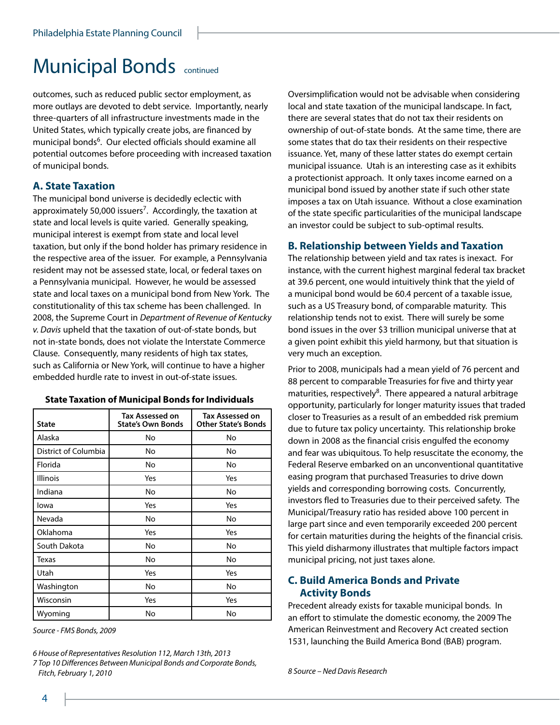### Municipal Bonds continued

outcomes, such as reduced public sector employment, as more outlays are devoted to debt service. Importantly, nearly three-quarters of all infrastructure investments made in the United States, which typically create jobs, are financed by municipal bonds<sup>6</sup>. Our elected officials should examine all potential outcomes before proceeding with increased taxation of municipal bonds.

#### **A. State Taxation**

The municipal bond universe is decidedly eclectic with approximately 50,000 issuers<sup>7</sup>. Accordingly, the taxation at state and local levels is quite varied. Generally speaking, municipal interest is exempt from state and local level taxation, but only if the bond holder has primary residence in the respective area of the issuer. For example, a Pennsylvania resident may not be assessed state, local, or federal taxes on a Pennsylvania municipal. However, he would be assessed state and local taxes on a municipal bond from New York. The constitutionality of this tax scheme has been challenged. In 2008, the Supreme Court in *Department of Revenue of Kentucky v. Davis* upheld that the taxation of out-of-state bonds, but not in-state bonds, does not violate the Interstate Commerce Clause. Consequently, many residents of high tax states, such as California or New York, will continue to have a higher embedded hurdle rate to invest in out-of-state issues.

| <b>State</b>         | <b>Tax Assessed on</b><br><b>State's Own Bonds</b> | <b>Tax Assessed on</b><br><b>Other State's Bonds</b> |
|----------------------|----------------------------------------------------|------------------------------------------------------|
| Alaska               | No                                                 | No                                                   |
| District of Columbia | No                                                 | No                                                   |
| Florida              | No                                                 | No                                                   |
| Illinois             | Yes                                                | Yes                                                  |
| Indiana              | No                                                 | No                                                   |
| lowa                 | Yes                                                | Yes                                                  |
| Nevada               | No                                                 | No                                                   |
| Oklahoma             | Yes                                                | Yes                                                  |
| South Dakota         | No                                                 | No                                                   |
| Texas                | No                                                 | No                                                   |
| Utah                 | Yes                                                | Yes                                                  |
| Washington           | No                                                 | No                                                   |
| Wisconsin            | Yes                                                | Yes                                                  |
| Wyoming              | No                                                 | No                                                   |

**State Taxation of Municipal Bonds for Individuals**

*Source - FMS Bonds, 2009*

*6 House of Representatives Resolution 112, March 13th, 2013 7 Top 10 Differences Between Municipal Bonds and Corporate Bonds, Fitch, February 1, 2010 8 Source – Ned Davis Research*

Oversimplification would not be advisable when considering local and state taxation of the municipal landscape. In fact, there are several states that do not tax their residents on ownership of out-of-state bonds. At the same time, there are some states that do tax their residents on their respective issuance. Yet, many of these latter states do exempt certain municipal issuance. Utah is an interesting case as it exhibits a protectionist approach. It only taxes income earned on a municipal bond issued by another state if such other state imposes a tax on Utah issuance. Without a close examination of the state specific particularities of the municipal landscape an investor could be subject to sub-optimal results.

#### **B. Relationship between Yields and Taxation**

The relationship between yield and tax rates is inexact. For instance, with the current highest marginal federal tax bracket at 39.6 percent, one would intuitively think that the yield of a municipal bond would be 60.4 percent of a taxable issue, such as a US Treasury bond, of comparable maturity. This relationship tends not to exist. There will surely be some bond issues in the over \$3 trillion municipal universe that at a given point exhibit this yield harmony, but that situation is very much an exception.

Prior to 2008, municipals had a mean yield of 76 percent and 88 percent to comparable Treasuries for five and thirty year maturities, respectively<sup>8</sup>. There appeared a natural arbitrage opportunity, particularly for longer maturity issues that traded closer to Treasuries as a result of an embedded risk premium due to future tax policy uncertainty. This relationship broke down in 2008 as the financial crisis engulfed the economy and fear was ubiquitous. To help resuscitate the economy, the Federal Reserve embarked on an unconventional quantitative easing program that purchased Treasuries to drive down yields and corresponding borrowing costs. Concurrently, investors fled to Treasuries due to their perceived safety. The Municipal/Treasury ratio has resided above 100 percent in large part since and even temporarily exceeded 200 percent for certain maturities during the heights of the financial crisis. This yield disharmony illustrates that multiple factors impact municipal pricing, not just taxes alone.

#### **C. Build America Bonds and Private Activity Bonds**

Precedent already exists for taxable municipal bonds. In an effort to stimulate the domestic economy, the 2009 The American Reinvestment and Recovery Act created section 1531, launching the Build America Bond (BAB) program.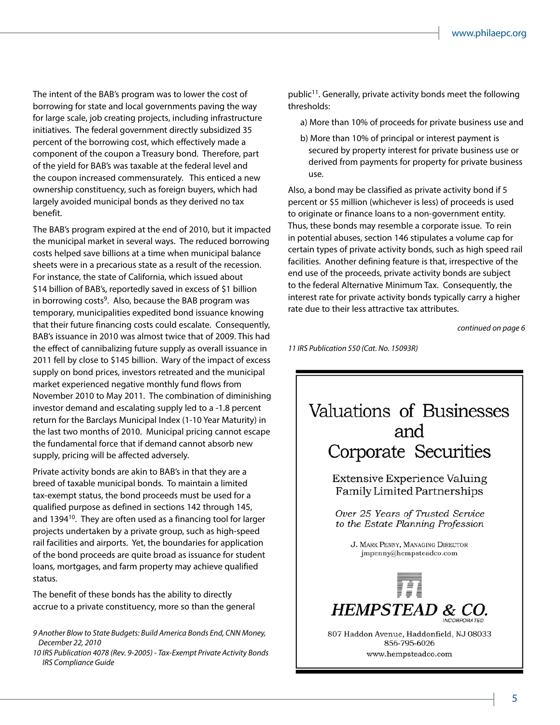The intent of the BAB's program was to lower the cost of borrowing for state and local governments paving the way for large scale, job creating projects, including infrastructure initiatives. The federal government directly subsidized 35 percent of the borrowing cost, which effectively made a component of the coupon a Treasury bond. Therefore, part of the yield for BAB's was taxable at the federal level and the coupon increased commensurately. This enticed a new ownership constituency, such as foreign buyers, which had largely avoided municipal bonds as they derived no tax benefit.

The BAB's program expired at the end of 2010, but it impacted the municipal market in several ways. The reduced borrowing costs helped save billions at a time when municipal balance sheets were in a precarious state as a result of the recession. For instance, the state of California, which issued about \$14 billion of BAB's, reportedly saved in excess of \$1 billion in borrowing costs<sup>9</sup>. Also, because the BAB program was temporary, municipalities expedited bond issuance knowing that their future financing costs could escalate. Consequently, BAB's issuance in 2010 was almost twice that of 2009. This had the effect of cannibalizing future supply as overall issuance in 2011 fell by close to \$145 billion. Wary of the impact of excess supply on bond prices, investors retreated and the municipal market experienced negative monthly fund flows from November 2010 to May 2011. The combination of diminishing investor demand and escalating supply led to a -1.8 percent return for the Barclays Municipal Index (1-10 Year Maturity) in the last two months of 2010. Municipal pricing cannot escape the fundamental force that if demand cannot absorb new supply, pricing will be affected adversely.

Private activity bonds are akin to BAB's in that they are a breed of taxable municipal bonds. To maintain a limited tax-exempt status, the bond proceeds must be used for a qualified purpose as defined in sections 142 through 145, and 1394<sup>10</sup>. They are often used as a financing tool for larger projects undertaken by a private group, such as high-speed rail facilities and airports. Yet, the boundaries for application of the bond proceeds are quite broad as issuance for student loans, mortgages, and farm property may achieve qualified status.

The benefit of these bonds has the ability to directly accrue to a private constituency, more so than the general

*9 Another Blow to State Budgets: Build America Bonds End, CNN Money, December 22, 2010*

*10 IRS Publication 4078 (Rev. 9-2005) - Tax-Exempt Private Activity Bonds IRS Compliance Guide*

public<sup>11</sup>. Generally, private activity bonds meet the following thresholds:

- a) More than 10% of proceeds for private business use and
- b) More than 10% of principal or interest payment is secured by property interest for private business use or derived from payments for property for private business use.

Also, a bond may be classified as private activity bond if 5 percent or \$5 million (whichever is less) of proceeds is used to originate or finance loans to a non-government entity. Thus, these bonds may resemble a corporate issue. To rein in potential abuses, section 146 stipulates a volume cap for certain types of private activity bonds, such as high speed rail facilities. Another defining feature is that, irrespective of the end use of the proceeds, private activity bonds are subject to the federal Alternative Minimum Tax. Consequently, the interest rate for private activity bonds typically carry a higher rate due to their less attractive tax attributes.

*continued on page 6*

*11 IRS Publication 550 (Cat. No. 15093R)*

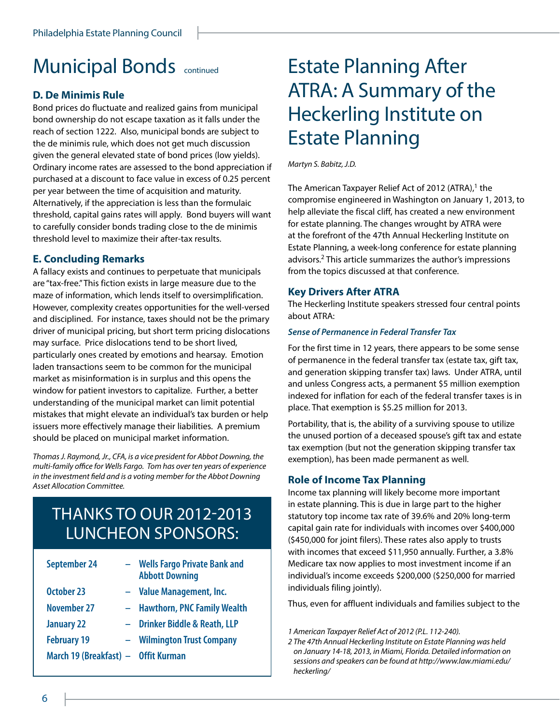### **Municipal Bonds** continued **Estate Planning After**

#### **D. De Minimis Rule**

Bond prices do fluctuate and realized gains from municipal bond ownership do not escape taxation as it falls under the reach of section 1222. Also, municipal bonds are subject to the de minimis rule, which does not get much discussion given the general elevated state of bond prices (low yields). Ordinary income rates are assessed to the bond appreciation if purchased at a discount to face value in excess of 0.25 percent per year between the time of acquisition and maturity. Alternatively, if the appreciation is less than the formulaic threshold, capital gains rates will apply. Bond buyers will want to carefully consider bonds trading close to the de minimis threshold level to maximize their after-tax results.

#### **E. Concluding Remarks**

A fallacy exists and continues to perpetuate that municipals are "tax-free." This fiction exists in large measure due to the maze of information, which lends itself to oversimplification. However, complexity creates opportunities for the well-versed and disciplined. For instance, taxes should not be the primary driver of municipal pricing, but short term pricing dislocations may surface. Price dislocations tend to be short lived, particularly ones created by emotions and hearsay. Emotion laden transactions seem to be common for the municipal market as misinformation is in surplus and this opens the window for patient investors to capitalize. Further, a better understanding of the municipal market can limit potential mistakes that might elevate an individual's tax burden or help issuers more effectively manage their liabilities. A premium should be placed on municipal market information.

*Thomas J. Raymond, Jr., CFA, is a vice president for Abbot Downing, the multi-family office for Wells Fargo. Tom has over ten years of experience in the investment field and is a voting member for the Abbot Downing Asset Allocation Committee.*

### THANKS TO OUR 2012-2013 LUNCHEON SPONSORS:

| <b>September 24</b>                 | - Wells Fargo Private Bank and<br><b>Abbott Downing</b> |
|-------------------------------------|---------------------------------------------------------|
| October 23                          | - Value Management, Inc.                                |
| <b>November 27</b>                  | - Hawthorn, PNC Family Wealth                           |
| <b>January 22</b><br>$\sim$ .       | <b>Drinker Biddle &amp; Reath, LLP</b>                  |
| <b>February 19</b>                  | - Wilmington Trust Company                              |
| March 19 (Breakfast) - Offit Kurman |                                                         |

# ATRA: A Summary of the Heckerling Institute on Estate Planning

*Martyn S. Babitz, J.D.*

The American Taxpayer Relief Act of 2012 (ATRA), $1$  the compromise engineered in Washington on January 1, 2013, to help alleviate the fiscal cliff, has created a new environment for estate planning. The changes wrought by ATRA were at the forefront of the 47th Annual Heckerling Institute on Estate Planning, a week-long conference for estate planning advisors.2 This article summarizes the author's impressions from the topics discussed at that conference.

#### **Key Drivers After ATRA**

The Heckerling Institute speakers stressed four central points about ATRA:

#### *Sense of Permanence in Federal Transfer Tax*

For the first time in 12 years, there appears to be some sense of permanence in the federal transfer tax (estate tax, gift tax, and generation skipping transfer tax) laws. Under ATRA, until and unless Congress acts, a permanent \$5 million exemption indexed for inflation for each of the federal transfer taxes is in place. That exemption is \$5.25 million for 2013.

Portability, that is, the ability of a surviving spouse to utilize the unused portion of a deceased spouse's gift tax and estate tax exemption (but not the generation skipping transfer tax exemption), has been made permanent as well.

#### **Role of Income Tax Planning**

Income tax planning will likely become more important in estate planning. This is due in large part to the higher statutory top income tax rate of 39.6% and 20% long-term capital gain rate for individuals with incomes over \$400,000 (\$450,000 for joint filers). These rates also apply to trusts with incomes that exceed \$11,950 annually. Further, a 3.8% Medicare tax now applies to most investment income if an individual's income exceeds \$200,000 (\$250,000 for married individuals filing jointly).

Thus, even for affluent individuals and families subject to the

*1 American Taxpayer Relief Act of 2012 (P.L. 112-240).*

*2 The 47th Annual Heckerling Institute on Estate Planning was held on January 14-18, 2013, in Miami, Florida. Detailed information on sessions and speakers can be found at http://www.law.miami.edu/ heckerling/*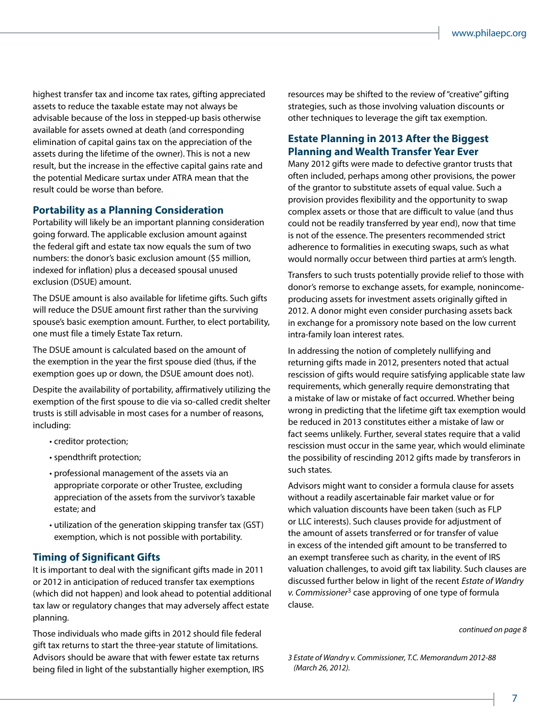highest transfer tax and income tax rates, gifting appreciated assets to reduce the taxable estate may not always be advisable because of the loss in stepped-up basis otherwise available for assets owned at death (and corresponding elimination of capital gains tax on the appreciation of the assets during the lifetime of the owner). This is not a new result, but the increase in the effective capital gains rate and the potential Medicare surtax under ATRA mean that the result could be worse than before.

#### **Portability as a Planning Consideration**

Portability will likely be an important planning consideration going forward. The applicable exclusion amount against the federal gift and estate tax now equals the sum of two numbers: the donor's basic exclusion amount (\$5 million, indexed for inflation) plus a deceased spousal unused exclusion (DSUE) amount.

The DSUE amount is also available for lifetime gifts. Such gifts will reduce the DSUE amount first rather than the surviving spouse's basic exemption amount. Further, to elect portability, one must file a timely Estate Tax return.

The DSUE amount is calculated based on the amount of the exemption in the year the first spouse died (thus, if the exemption goes up or down, the DSUE amount does not).

Despite the availability of portability, affirmatively utilizing the exemption of the first spouse to die via so-called credit shelter trusts is still advisable in most cases for a number of reasons, including:

- creditor protection;
- spendthrift protection;
- professional management of the assets via an appropriate corporate or other Trustee, excluding appreciation of the assets from the survivor's taxable estate; and
- utilization of the generation skipping transfer tax (GST) exemption, which is not possible with portability.

#### **Timing of Significant Gifts**

It is important to deal with the significant gifts made in 2011 or 2012 in anticipation of reduced transfer tax exemptions (which did not happen) and look ahead to potential additional tax law or regulatory changes that may adversely affect estate planning.

Those individuals who made gifts in 2012 should file federal gift tax returns to start the three-year statute of limitations. Advisors should be aware that with fewer estate tax returns being filed in light of the substantially higher exemption, IRS resources may be shifted to the review of "creative" gifting strategies, such as those involving valuation discounts or other techniques to leverage the gift tax exemption.

#### **Estate Planning in 2013 After the Biggest Planning and Wealth Transfer Year Ever**

Many 2012 gifts were made to defective grantor trusts that often included, perhaps among other provisions, the power of the grantor to substitute assets of equal value. Such a provision provides flexibility and the opportunity to swap complex assets or those that are difficult to value (and thus could not be readily transferred by year end), now that time is not of the essence. The presenters recommended strict adherence to formalities in executing swaps, such as what would normally occur between third parties at arm's length.

Transfers to such trusts potentially provide relief to those with donor's remorse to exchange assets, for example, nonincomeproducing assets for investment assets originally gifted in 2012. A donor might even consider purchasing assets back in exchange for a promissory note based on the low current intra-family loan interest rates.

In addressing the notion of completely nullifying and returning gifts made in 2012, presenters noted that actual rescission of gifts would require satisfying applicable state law requirements, which generally require demonstrating that a mistake of law or mistake of fact occurred. Whether being wrong in predicting that the lifetime gift tax exemption would be reduced in 2013 constitutes either a mistake of law or fact seems unlikely. Further, several states require that a valid rescission must occur in the same year, which would eliminate the possibility of rescinding 2012 gifts made by transferors in such states.

Advisors might want to consider a formula clause for assets without a readily ascertainable fair market value or for which valuation discounts have been taken (such as FLP or LLC interests). Such clauses provide for adjustment of the amount of assets transferred or for transfer of value in excess of the intended gift amount to be transferred to an exempt transferee such as charity, in the event of IRS valuation challenges, to avoid gift tax liability. Such clauses are discussed further below in light of the recent *Estate of Wandry v. Commissioner*3 case approving of one type of formula clause.

*continued on page 8*

*3 Estate of Wandry v. Commissioner, T.C. Memorandum 2012-88 (March 26, 2012).*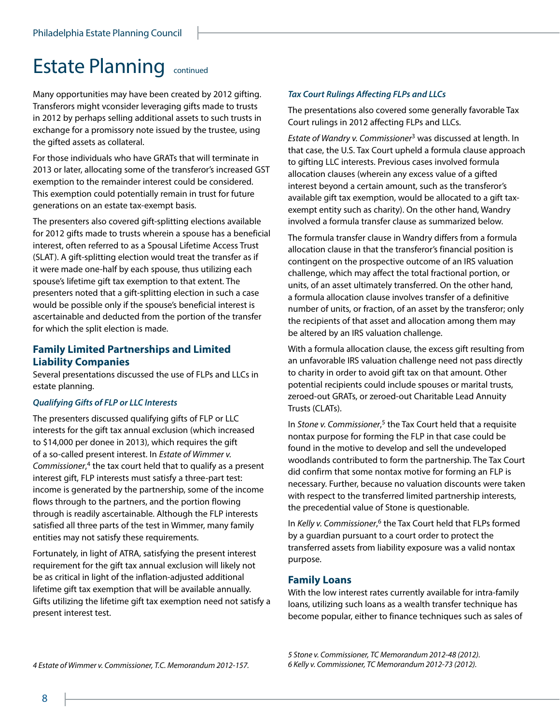### Estate Planning continued

Many opportunities may have been created by 2012 gifting. Transferors might vconsider leveraging gifts made to trusts in 2012 by perhaps selling additional assets to such trusts in exchange for a promissory note issued by the trustee, using the gifted assets as collateral.

For those individuals who have GRATs that will terminate in 2013 or later, allocating some of the transferor's increased GST exemption to the remainder interest could be considered. This exemption could potentially remain in trust for future generations on an estate tax-exempt basis.

The presenters also covered gift-splitting elections available for 2012 gifts made to trusts wherein a spouse has a beneficial interest, often referred to as a Spousal Lifetime Access Trust (SLAT). A gift-splitting election would treat the transfer as if it were made one-half by each spouse, thus utilizing each spouse's lifetime gift tax exemption to that extent. The presenters noted that a gift-splitting election in such a case would be possible only if the spouse's beneficial interest is ascertainable and deducted from the portion of the transfer for which the split election is made.

#### **Family Limited Partnerships and Limited Liability Companies**

Several presentations discussed the use of FLPs and LLCs in estate planning.

#### *Qualifying Gifts of FLP or LLC Interests*

The presenters discussed qualifying gifts of FLP or LLC interests for the gift tax annual exclusion (which increased to \$14,000 per donee in 2013), which requires the gift of a so-called present interest. In *Estate of Wimmer v. Commissioner*, 4 the tax court held that to qualify as a present interest gift, FLP interests must satisfy a three-part test: income is generated by the partnership, some of the income flows through to the partners, and the portion flowing through is readily ascertainable. Although the FLP interests satisfied all three parts of the test in Wimmer, many family entities may not satisfy these requirements.

Fortunately, in light of ATRA, satisfying the present interest requirement for the gift tax annual exclusion will likely not be as critical in light of the inflation-adjusted additional lifetime gift tax exemption that will be available annually. Gifts utilizing the lifetime gift tax exemption need not satisfy a present interest test.

#### *Tax Court Rulings Affecting FLPs and LLCs*

The presentations also covered some generally favorable Tax Court rulings in 2012 affecting FLPs and LLCs.

*Estate of Wandry v. Commissioner*3 was discussed at length. In that case, the U.S. Tax Court upheld a formula clause approach to gifting LLC interests. Previous cases involved formula allocation clauses (wherein any excess value of a gifted interest beyond a certain amount, such as the transferor's available gift tax exemption, would be allocated to a gift taxexempt entity such as charity). On the other hand, Wandry involved a formula transfer clause as summarized below.

The formula transfer clause in Wandry differs from a formula allocation clause in that the transferor's financial position is contingent on the prospective outcome of an IRS valuation challenge, which may affect the total fractional portion, or units, of an asset ultimately transferred. On the other hand, a formula allocation clause involves transfer of a definitive number of units, or fraction, of an asset by the transferor; only the recipients of that asset and allocation among them may be altered by an IRS valuation challenge.

With a formula allocation clause, the excess gift resulting from an unfavorable IRS valuation challenge need not pass directly to charity in order to avoid gift tax on that amount. Other potential recipients could include spouses or marital trusts, zeroed-out GRATs, or zeroed-out Charitable Lead Annuity Trusts (CLATs).

In Stone v. Commissioner,<sup>5</sup> the Tax Court held that a requisite nontax purpose for forming the FLP in that case could be found in the motive to develop and sell the undeveloped woodlands contributed to form the partnership. The Tax Court did confirm that some nontax motive for forming an FLP is necessary. Further, because no valuation discounts were taken with respect to the transferred limited partnership interests, the precedential value of Stone is questionable.

In *Kelly v. Commissioner*, 6 the Tax Court held that FLPs formed by a guardian pursuant to a court order to protect the transferred assets from liability exposure was a valid nontax purpose.

#### **Family Loans**

With the low interest rates currently available for intra-family loans, utilizing such loans as a wealth transfer technique has become popular, either to finance techniques such as sales of

*5 Stone v. Commissioner, TC Memorandum 2012-48 (2012). 6 Kelly v. Commissioner, TC Memorandum 2012-73 (2012).*

*4 Estate of Wimmer v. Commissioner, T.C. Memorandum 2012-157.*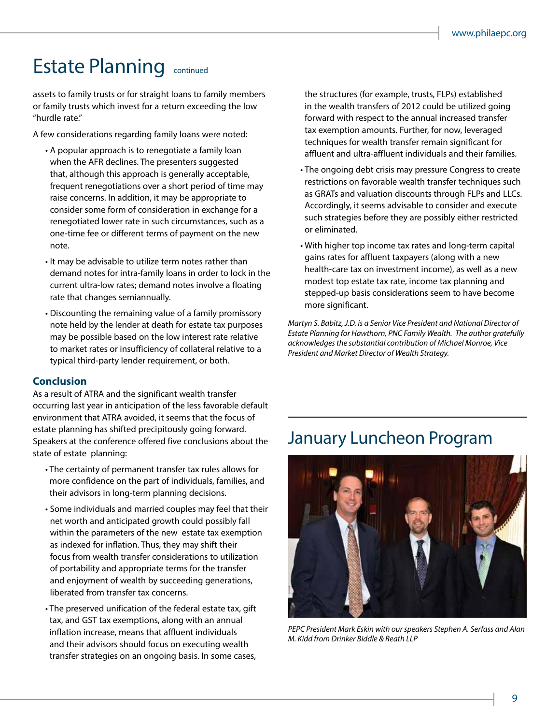### Estate Planning continued

assets to family trusts or for straight loans to family members or family trusts which invest for a return exceeding the low "hurdle rate."

A few considerations regarding family loans were noted:

- A popular approach is to renegotiate a family loan when the AFR declines. The presenters suggested that, although this approach is generally acceptable, frequent renegotiations over a short period of time may raise concerns. In addition, it may be appropriate to consider some form of consideration in exchange for a renegotiated lower rate in such circumstances, such as a one-time fee or different terms of payment on the new note.
- It may be advisable to utilize term notes rather than demand notes for intra-family loans in order to lock in the current ultra-low rates; demand notes involve a floating rate that changes semiannually.
- Discounting the remaining value of a family promissory note held by the lender at death for estate tax purposes may be possible based on the low interest rate relative to market rates or insufficiency of collateral relative to a typical third-party lender requirement, or both.

#### **Conclusion**

As a result of ATRA and the significant wealth transfer occurring last year in anticipation of the less favorable default environment that ATRA avoided, it seems that the focus of estate planning has shifted precipitously going forward. Speakers at the conference offered five conclusions about the state of estate planning:

- The certainty of permanent transfer tax rules allows for more confidence on the part of individuals, families, and their advisors in long-term planning decisions.
- Some individuals and married couples may feel that their net worth and anticipated growth could possibly fall within the parameters of the new estate tax exemption as indexed for inflation. Thus, they may shift their focus from wealth transfer considerations to utilization of portability and appropriate terms for the transfer and enjoyment of wealth by succeeding generations, liberated from transfer tax concerns.
- The preserved unification of the federal estate tax, gift tax, and GST tax exemptions, along with an annual inflation increase, means that affluent individuals and their advisors should focus on executing wealth transfer strategies on an ongoing basis. In some cases,

the structures (for example, trusts, FLPs) established in the wealth transfers of 2012 could be utilized going forward with respect to the annual increased transfer tax exemption amounts. Further, for now, leveraged techniques for wealth transfer remain significant for affluent and ultra-affluent individuals and their families.

- The ongoing debt crisis may pressure Congress to create restrictions on favorable wealth transfer techniques such as GRATs and valuation discounts through FLPs and LLCs. Accordingly, it seems advisable to consider and execute such strategies before they are possibly either restricted or eliminated.
- With higher top income tax rates and long-term capital gains rates for affluent taxpayers (along with a new health-care tax on investment income), as well as a new modest top estate tax rate, income tax planning and stepped-up basis considerations seem to have become more significant.

*Martyn S. Babitz, J.D. is a Senior Vice President and National Director of Estate Planning for Hawthorn, PNC Family Wealth. The author gratefully acknowledges the substantial contribution of Michael Monroe, Vice President and Market Director of Wealth Strategy.*

### January Luncheon Program



*PEPC President Mark Eskin with our speakers Stephen A. Serfass and Alan M. Kidd from Drinker Biddle & Reath LLP*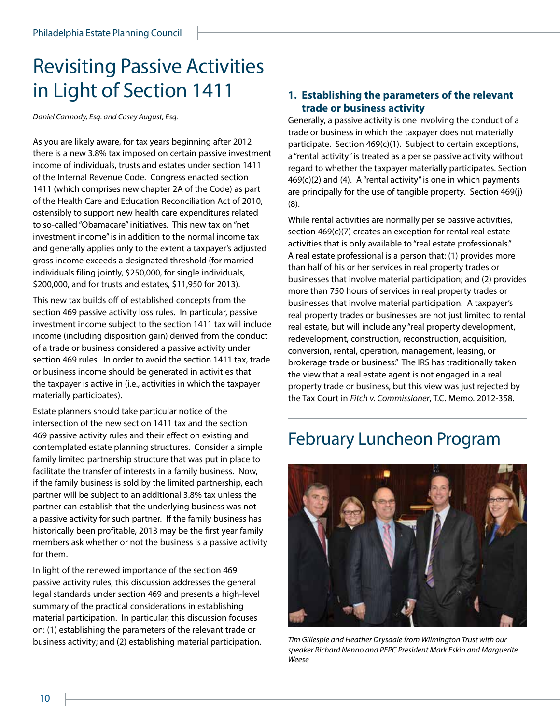### Revisiting Passive Activities in Light of Section 1411

*Daniel Carmody, Esq. and Casey August, Esq.*

As you are likely aware, for tax years beginning after 2012 there is a new 3.8% tax imposed on certain passive investment income of individuals, trusts and estates under section 1411 of the Internal Revenue Code. Congress enacted section 1411 (which comprises new chapter 2A of the Code) as part of the Health Care and Education Reconciliation Act of 2010, ostensibly to support new health care expenditures related to so-called "Obamacare" initiatives. This new tax on "net investment income" is in addition to the normal income tax and generally applies only to the extent a taxpayer's adjusted gross income exceeds a designated threshold (for married individuals filing jointly, \$250,000, for single individuals, \$200,000, and for trusts and estates, \$11,950 for 2013).

This new tax builds off of established concepts from the section 469 passive activity loss rules. In particular, passive investment income subject to the section 1411 tax will include income (including disposition gain) derived from the conduct of a trade or business considered a passive activity under section 469 rules. In order to avoid the section 1411 tax, trade or business income should be generated in activities that the taxpayer is active in (i.e., activities in which the taxpayer materially participates).

Estate planners should take particular notice of the intersection of the new section 1411 tax and the section 469 passive activity rules and their effect on existing and contemplated estate planning structures. Consider a simple family limited partnership structure that was put in place to facilitate the transfer of interests in a family business. Now, if the family business is sold by the limited partnership, each partner will be subject to an additional 3.8% tax unless the partner can establish that the underlying business was not a passive activity for such partner. If the family business has historically been profitable, 2013 may be the first year family members ask whether or not the business is a passive activity for them.

In light of the renewed importance of the section 469 passive activity rules, this discussion addresses the general legal standards under section 469 and presents a high-level summary of the practical considerations in establishing material participation. In particular, this discussion focuses on: (1) establishing the parameters of the relevant trade or business activity; and (2) establishing material participation.

#### **1. Establishing the parameters of the relevant trade or business activity**

Generally, a passive activity is one involving the conduct of a trade or business in which the taxpayer does not materially participate. Section 469(c)(1). Subject to certain exceptions, a "rental activity" is treated as a per se passive activity without regard to whether the taxpayer materially participates. Section  $469(c)(2)$  and (4). A "rental activity" is one in which payments are principally for the use of tangible property. Section 469(j) (8).

While rental activities are normally per se passive activities, section 469(c)(7) creates an exception for rental real estate activities that is only available to "real estate professionals." A real estate professional is a person that: (1) provides more than half of his or her services in real property trades or businesses that involve material participation; and (2) provides more than 750 hours of services in real property trades or businesses that involve material participation. A taxpayer's real property trades or businesses are not just limited to rental real estate, but will include any "real property development, redevelopment, construction, reconstruction, acquisition, conversion, rental, operation, management, leasing, or brokerage trade or business." The IRS has traditionally taken the view that a real estate agent is not engaged in a real property trade or business, but this view was just rejected by the Tax Court in *Fitch v. Commissioner*, T.C. Memo. 2012-358.

### February Luncheon Program



*Tim Gillespie and Heather Drysdale from Wilmington Trust with our speaker Richard Nenno and PEPC President Mark Eskin and Marguerite Weese*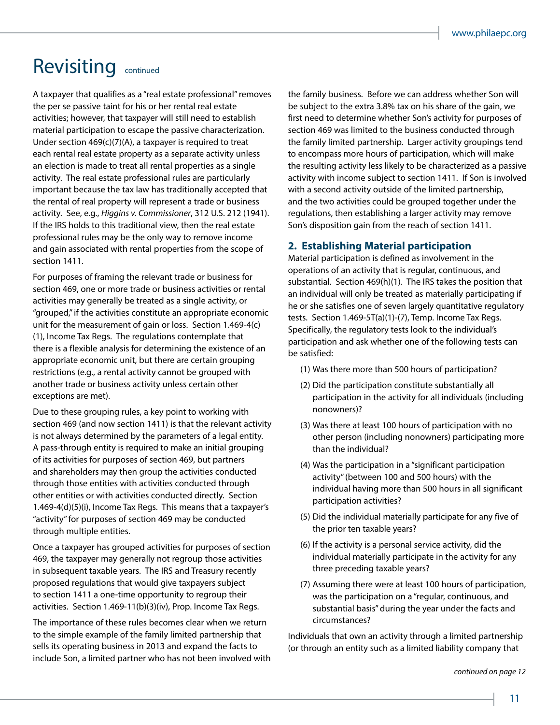### Revisiting continued

A taxpayer that qualifies as a "real estate professional" removes the per se passive taint for his or her rental real estate activities; however, that taxpayer will still need to establish material participation to escape the passive characterization. Under section 469(c)(7)(A), a taxpayer is required to treat each rental real estate property as a separate activity unless an election is made to treat all rental properties as a single activity. The real estate professional rules are particularly important because the tax law has traditionally accepted that the rental of real property will represent a trade or business activity. See, e.g., *Higgins v. Commissioner*, 312 U.S. 212 (1941). If the IRS holds to this traditional view, then the real estate professional rules may be the only way to remove income and gain associated with rental properties from the scope of section 1411.

For purposes of framing the relevant trade or business for section 469, one or more trade or business activities or rental activities may generally be treated as a single activity, or "grouped," if the activities constitute an appropriate economic unit for the measurement of gain or loss. Section 1.469-4(c) (1), Income Tax Regs. The regulations contemplate that there is a flexible analysis for determining the existence of an appropriate economic unit, but there are certain grouping restrictions (e.g., a rental activity cannot be grouped with another trade or business activity unless certain other exceptions are met).

Due to these grouping rules, a key point to working with section 469 (and now section 1411) is that the relevant activity is not always determined by the parameters of a legal entity. A pass-through entity is required to make an initial grouping of its activities for purposes of section 469, but partners and shareholders may then group the activities conducted through those entities with activities conducted through other entities or with activities conducted directly. Section 1.469-4(d)(5)(i), Income Tax Regs. This means that a taxpayer's "activity" for purposes of section 469 may be conducted through multiple entities.

Once a taxpayer has grouped activities for purposes of section 469, the taxpayer may generally not regroup those activities in subsequent taxable years. The IRS and Treasury recently proposed regulations that would give taxpayers subject to section 1411 a one-time opportunity to regroup their activities. Section 1.469-11(b)(3)(iv), Prop. Income Tax Regs.

The importance of these rules becomes clear when we return to the simple example of the family limited partnership that sells its operating business in 2013 and expand the facts to include Son, a limited partner who has not been involved with the family business. Before we can address whether Son will be subject to the extra 3.8% tax on his share of the gain, we first need to determine whether Son's activity for purposes of section 469 was limited to the business conducted through the family limited partnership. Larger activity groupings tend to encompass more hours of participation, which will make the resulting activity less likely to be characterized as a passive activity with income subject to section 1411. If Son is involved with a second activity outside of the limited partnership, and the two activities could be grouped together under the regulations, then establishing a larger activity may remove Son's disposition gain from the reach of section 1411.

#### **2. Establishing Material participation**

Material participation is defined as involvement in the operations of an activity that is regular, continuous, and substantial. Section 469(h)(1). The IRS takes the position that an individual will only be treated as materially participating if he or she satisfies one of seven largely quantitative regulatory tests. Section 1.469-5T(a)(1)-(7), Temp. Income Tax Regs. Specifically, the regulatory tests look to the individual's participation and ask whether one of the following tests can be satisfied:

- (1) Was there more than 500 hours of participation?
- (2) Did the participation constitute substantially all participation in the activity for all individuals (including nonowners)?
- (3) Was there at least 100 hours of participation with no other person (including nonowners) participating more than the individual?
- (4) Was the participation in a "significant participation activity" (between 100 and 500 hours) with the individual having more than 500 hours in all significant participation activities?
- (5) Did the individual materially participate for any five of the prior ten taxable years?
- (6) If the activity is a personal service activity, did the individual materially participate in the activity for any three preceding taxable years?
- (7) Assuming there were at least 100 hours of participation, was the participation on a "regular, continuous, and substantial basis" during the year under the facts and circumstances?

Individuals that own an activity through a limited partnership (or through an entity such as a limited liability company that

*continued on page 12*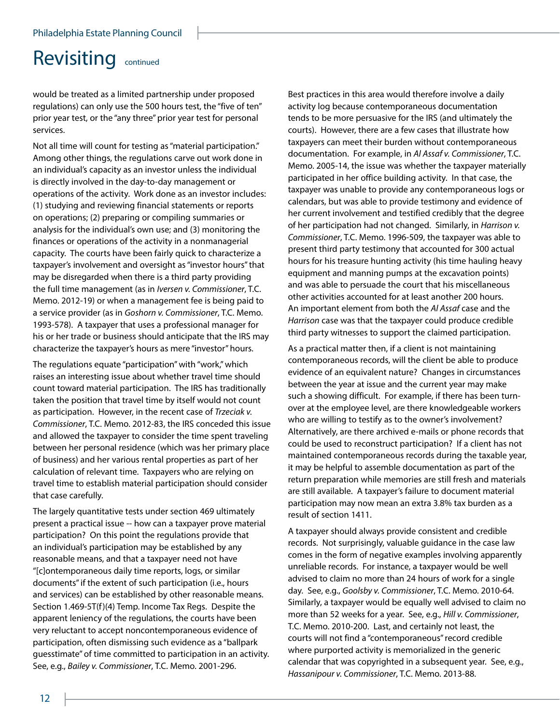### Revisiting continued

would be treated as a limited partnership under proposed regulations) can only use the 500 hours test, the "five of ten" prior year test, or the "any three" prior year test for personal services.

Not all time will count for testing as "material participation." Among other things, the regulations carve out work done in an individual's capacity as an investor unless the individual is directly involved in the day-to-day management or operations of the activity. Work done as an investor includes: (1) studying and reviewing financial statements or reports on operations; (2) preparing or compiling summaries or analysis for the individual's own use; and (3) monitoring the finances or operations of the activity in a nonmanagerial capacity. The courts have been fairly quick to characterize a taxpayer's involvement and oversight as "investor hours" that may be disregarded when there is a third party providing the full time management (as in *Iversen v. Commissioner*, T.C. Memo. 2012-19) or when a management fee is being paid to a service provider (as in *Goshorn v. Commissioner*, T.C. Memo. 1993-578). A taxpayer that uses a professional manager for his or her trade or business should anticipate that the IRS may characterize the taxpayer's hours as mere "investor" hours.

The regulations equate "participation" with "work," which raises an interesting issue about whether travel time should count toward material participation. The IRS has traditionally taken the position that travel time by itself would not count as participation. However, in the recent case of *Trzeciak v. Commissioner*, T.C. Memo. 2012-83, the IRS conceded this issue and allowed the taxpayer to consider the time spent traveling between her personal residence (which was her primary place of business) and her various rental properties as part of her calculation of relevant time. Taxpayers who are relying on travel time to establish material participation should consider that case carefully.

The largely quantitative tests under section 469 ultimately present a practical issue -- how can a taxpayer prove material participation? On this point the regulations provide that an individual's participation may be established by any reasonable means, and that a taxpayer need not have "[c]ontemporaneous daily time reports, logs, or similar documents" if the extent of such participation (i.e., hours and services) can be established by other reasonable means. Section 1.469-5T(f)(4) Temp. Income Tax Regs. Despite the apparent leniency of the regulations, the courts have been very reluctant to accept noncontemporaneous evidence of participation, often dismissing such evidence as a "ballpark guesstimate" of time committed to participation in an activity. See, e.g., *Bailey v. Commissioner*, T.C. Memo. 2001-296.

Best practices in this area would therefore involve a daily activity log because contemporaneous documentation tends to be more persuasive for the IRS (and ultimately the courts). However, there are a few cases that illustrate how taxpayers can meet their burden without contemporaneous documentation. For example, in *Al Assaf v. Commissioner*, T.C. Memo. 2005-14, the issue was whether the taxpayer materially participated in her office building activity. In that case, the taxpayer was unable to provide any contemporaneous logs or calendars, but was able to provide testimony and evidence of her current involvement and testified credibly that the degree of her participation had not changed. Similarly, in *Harrison v. Commissioner*, T.C. Memo. 1996-509, the taxpayer was able to present third party testimony that accounted for 300 actual hours for his treasure hunting activity (his time hauling heavy equipment and manning pumps at the excavation points) and was able to persuade the court that his miscellaneous other activities accounted for at least another 200 hours. An important element from both the *Al Assaf* case and the *Harrison* case was that the taxpayer could produce credible third party witnesses to support the claimed participation.

As a practical matter then, if a client is not maintaining contemporaneous records, will the client be able to produce evidence of an equivalent nature? Changes in circumstances between the year at issue and the current year may make such a showing difficult. For example, if there has been turnover at the employee level, are there knowledgeable workers who are willing to testify as to the owner's involvement? Alternatively, are there archived e-mails or phone records that could be used to reconstruct participation? If a client has not maintained contemporaneous records during the taxable year, it may be helpful to assemble documentation as part of the return preparation while memories are still fresh and materials are still available. A taxpayer's failure to document material participation may now mean an extra 3.8% tax burden as a result of section 1411.

A taxpayer should always provide consistent and credible records. Not surprisingly, valuable guidance in the case law comes in the form of negative examples involving apparently unreliable records. For instance, a taxpayer would be well advised to claim no more than 24 hours of work for a single day. See, e.g., *Goolsby v. Commissioner*, T.C. Memo. 2010-64. Similarly, a taxpayer would be equally well advised to claim no more than 52 weeks for a year. See, e.g., *Hill v. Commissioner*, T.C. Memo. 2010-200. Last, and certainly not least, the courts will not find a "contemporaneous" record credible where purported activity is memorialized in the generic calendar that was copyrighted in a subsequent year. See, e.g., *Hassanipour v. Commissioner*, T.C. Memo. 2013-88.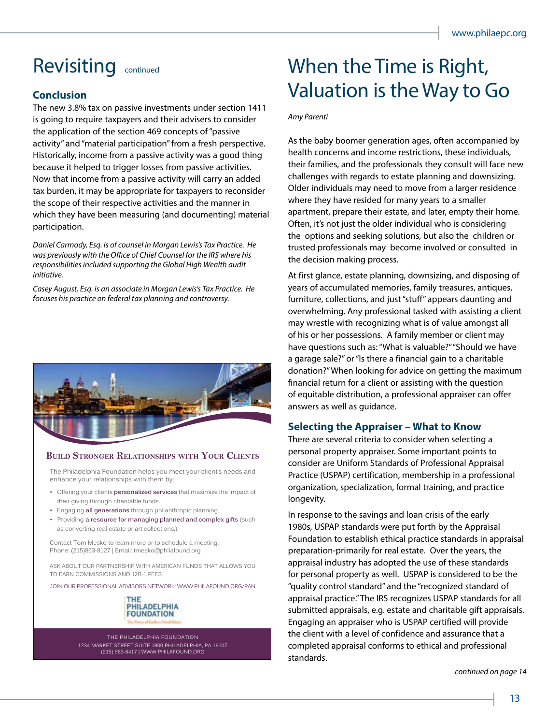#### **Conclusion**

The new 3.8% tax on passive investments under section 1411 is going to require taxpayers and their advisers to consider the application of the section 469 concepts of "passive activity" and "material participation" from a fresh perspective. Historically, income from a passive activity was a good thing because it helped to trigger losses from passive activities. Now that income from a passive activity will carry an added tax burden, it may be appropriate for taxpayers to reconsider the scope of their respective activities and the manner in which they have been measuring (and documenting) material participation.

*Daniel Carmody, Esq. is of counsel in Morgan Lewis's Tax Practice. He was previously with the Office of Chief Counsel for the IRS where his responsibilities included supporting the Global High Wealth audit initiative.*

*Casey August, Esq. is an associate in Morgan Lewis's Tax Practice. He focuses his practice on federal tax planning and controversy.*



#### **Build Stronger relationShipS with Your ClientS**

The Philadelphia Foundation helps you meet your client's needs and enhance your relationships with them by:

- Offering your clients **personalized services** that maximize the impact of their giving through charitable funds.
- Engaging **all generations** through philanthropic planning.
- Providing **a resource for managing planned and complex gifts** (such as converting real estate or art collections.)

Contact Tom Mesko to learn more or to schedule a meeting: Phone: (215)863-8127 | Email: tmesko@philafound.org

ASK ABOUT OUR PARTNERSHIP WITH AMERICAN FUNDS THAT ALLOWS YOU TO EARN COMMISSIONS AND 12B-1 FEES

JOIN OUR PROFESSIONAL ADVISORS NETWORK: WWW.PHILAFOUND.ORG/PAN



THE PHILADELPHIA FOUNDATION 1234 MARKET STREET SUITE 1800 PHILADELPHIA, PA 19107 (215) 563-6417 | WWW.PHILAFOUND.ORG

### Revisiting continued When the Time is Right, Valuation is the Way to Go

*Amy Parenti*

As the baby boomer generation ages, often accompanied by health concerns and income restrictions, these individuals, their families, and the professionals they consult will face new challenges with regards to estate planning and downsizing. Older individuals may need to move from a larger residence where they have resided for many years to a smaller apartment, prepare their estate, and later, empty their home. Often, it's not just the older individual who is considering the options and seeking solutions, but also the children or trusted professionals may become involved or consulted in the decision making process.

At first glance, estate planning, downsizing, and disposing of years of accumulated memories, family treasures, antiques, furniture, collections, and just "stuff" appears daunting and overwhelming. Any professional tasked with assisting a client may wrestle with recognizing what is of value amongst all of his or her possessions. A family member or client may have questions such as: "What is valuable?" "Should we have a garage sale?" or "Is there a financial gain to a charitable donation?" When looking for advice on getting the maximum financial return for a client or assisting with the question of equitable distribution, a professional appraiser can offer answers as well as guidance.

#### **Selecting the Appraiser – What to Know**

There are several criteria to consider when selecting a personal property appraiser. Some important points to consider are Uniform Standards of Professional Appraisal Practice (USPAP) certification, membership in a professional organization, specialization, formal training, and practice longevity.

In response to the savings and loan crisis of the early 1980s, USPAP standards were put forth by the Appraisal Foundation to establish ethical practice standards in appraisal preparation-primarily for real estate. Over the years, the appraisal industry has adopted the use of these standards for personal property as well. USPAP is considered to be the "quality control standard" and the "recognized standard of appraisal practice." The IRS recognizes USPAP standards for all submitted appraisals, e.g. estate and charitable gift appraisals. Engaging an appraiser who is USPAP certified will provide the client with a level of confidence and assurance that a completed appraisal conforms to ethical and professional standards.

*continued on page 14*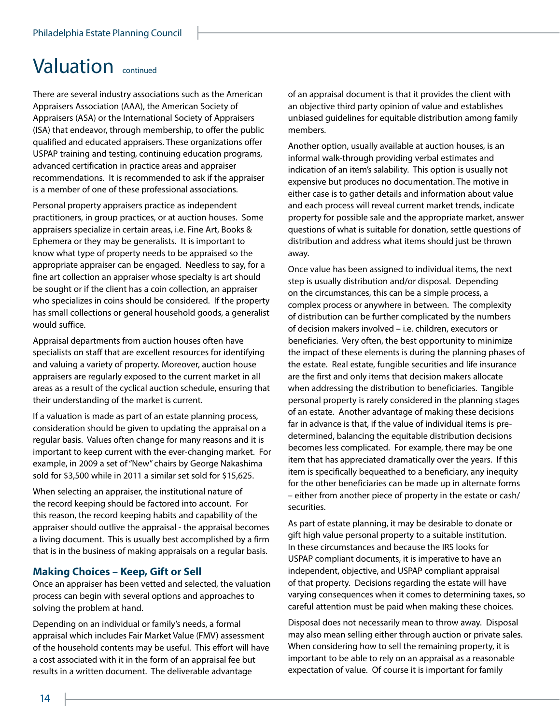### Valuation continued

There are several industry associations such as the American Appraisers Association (AAA), the American Society of Appraisers (ASA) or the International Society of Appraisers (ISA) that endeavor, through membership, to offer the public qualified and educated appraisers. These organizations offer USPAP training and testing, continuing education programs, advanced certification in practice areas and appraiser recommendations. It is recommended to ask if the appraiser is a member of one of these professional associations.

Personal property appraisers practice as independent practitioners, in group practices, or at auction houses. Some appraisers specialize in certain areas, i.e. Fine Art, Books & Ephemera or they may be generalists. It is important to know what type of property needs to be appraised so the appropriate appraiser can be engaged. Needless to say, for a fine art collection an appraiser whose specialty is art should be sought or if the client has a coin collection, an appraiser who specializes in coins should be considered. If the property has small collections or general household goods, a generalist would suffice.

Appraisal departments from auction houses often have specialists on staff that are excellent resources for identifying and valuing a variety of property. Moreover, auction house appraisers are regularly exposed to the current market in all areas as a result of the cyclical auction schedule, ensuring that their understanding of the market is current.

If a valuation is made as part of an estate planning process, consideration should be given to updating the appraisal on a regular basis. Values often change for many reasons and it is important to keep current with the ever-changing market. For example, in 2009 a set of "New" chairs by George Nakashima sold for \$3,500 while in 2011 a similar set sold for \$15,625.

When selecting an appraiser, the institutional nature of the record keeping should be factored into account. For this reason, the record keeping habits and capability of the appraiser should outlive the appraisal - the appraisal becomes a living document. This is usually best accomplished by a firm that is in the business of making appraisals on a regular basis.

#### **Making Choices – Keep, Gift or Sell**

Once an appraiser has been vetted and selected, the valuation process can begin with several options and approaches to solving the problem at hand.

Depending on an individual or family's needs, a formal appraisal which includes Fair Market Value (FMV) assessment of the household contents may be useful. This effort will have a cost associated with it in the form of an appraisal fee but results in a written document. The deliverable advantage

of an appraisal document is that it provides the client with an objective third party opinion of value and establishes unbiased guidelines for equitable distribution among family members.

Another option, usually available at auction houses, is an informal walk-through providing verbal estimates and indication of an item's salability. This option is usually not expensive but produces no documentation. The motive in either case is to gather details and information about value and each process will reveal current market trends, indicate property for possible sale and the appropriate market, answer questions of what is suitable for donation, settle questions of distribution and address what items should just be thrown away.

Once value has been assigned to individual items, the next step is usually distribution and/or disposal. Depending on the circumstances, this can be a simple process, a complex process or anywhere in between. The complexity of distribution can be further complicated by the numbers of decision makers involved – i.e. children, executors or beneficiaries. Very often, the best opportunity to minimize the impact of these elements is during the planning phases of the estate. Real estate, fungible securities and life insurance are the first and only items that decision makers allocate when addressing the distribution to beneficiaries. Tangible personal property is rarely considered in the planning stages of an estate. Another advantage of making these decisions far in advance is that, if the value of individual items is predetermined, balancing the equitable distribution decisions becomes less complicated. For example, there may be one item that has appreciated dramatically over the years. If this item is specifically bequeathed to a beneficiary, any inequity for the other beneficiaries can be made up in alternate forms – either from another piece of property in the estate or cash/ securities.

As part of estate planning, it may be desirable to donate or gift high value personal property to a suitable institution. In these circumstances and because the IRS looks for USPAP compliant documents, it is imperative to have an independent, objective, and USPAP compliant appraisal of that property. Decisions regarding the estate will have varying consequences when it comes to determining taxes, so careful attention must be paid when making these choices.

Disposal does not necessarily mean to throw away. Disposal may also mean selling either through auction or private sales. When considering how to sell the remaining property, it is important to be able to rely on an appraisal as a reasonable expectation of value. Of course it is important for family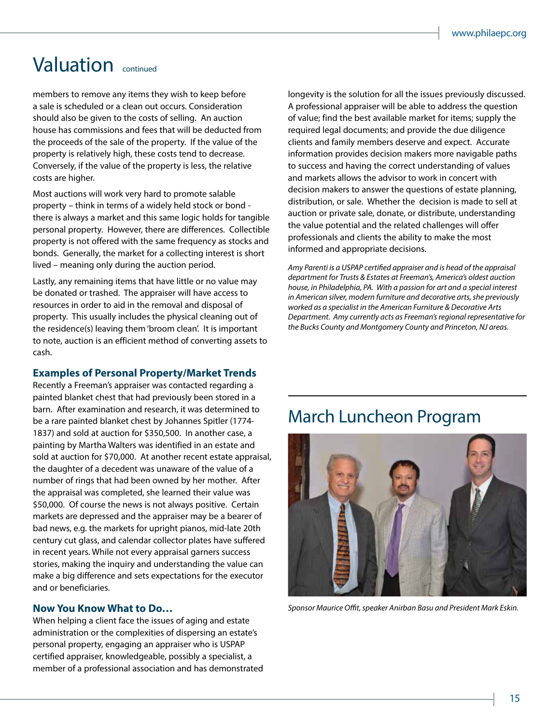### Valuation continued

members to remove any items they wish to keep before a sale is scheduled or a clean out occurs. Consideration should also be given to the costs of selling. An auction house has commissions and fees that will be deducted from the proceeds of the sale of the property. If the value of the property is relatively high, these costs tend to decrease. Conversely, if the value of the property is less, the relative costs are higher.

Most auctions will work very hard to promote salable property – think in terms of a widely held stock or bond there is always a market and this same logic holds for tangible personal property. However, there are differences. Collectible property is not offered with the same frequency as stocks and bonds. Generally, the market for a collecting interest is short lived – meaning only during the auction period.

Lastly, any remaining items that have little or no value may be donated or trashed. The appraiser will have access to resources in order to aid in the removal and disposal of property. This usually includes the physical cleaning out of the residence(s) leaving them 'broom clean'. It is important to note, auction is an efficient method of converting assets to cash.

#### **Examples of Personal Property/Market Trends**

Recently a Freeman's appraiser was contacted regarding a painted blanket chest that had previously been stored in a barn. After examination and research, it was determined to be a rare painted blanket chest by Johannes Spitler (1774- 1837) and sold at auction for \$350,500. In another case, a painting by Martha Walters was identified in an estate and sold at auction for \$70,000. At another recent estate appraisal, the daughter of a decedent was unaware of the value of a number of rings that had been owned by her mother. After the appraisal was completed, she learned their value was \$50,000. Of course the news is not always positive. Certain markets are depressed and the appraiser may be a bearer of bad news, e.g. the markets for upright pianos, mid-late 20th century cut glass, and calendar collector plates have suffered in recent years. While not every appraisal garners success stories, making the inquiry and understanding the value can make a big difference and sets expectations for the executor and or beneficiaries.

#### **Now You Know What to Do…**

When helping a client face the issues of aging and estate administration or the complexities of dispersing an estate's personal property, engaging an appraiser who is USPAP certified appraiser, knowledgeable, possibly a specialist, a member of a professional association and has demonstrated longevity is the solution for all the issues previously discussed. A professional appraiser will be able to address the question of value; find the best available market for items; supply the required legal documents; and provide the due diligence clients and family members deserve and expect. Accurate information provides decision makers more navigable paths to success and having the correct understanding of values and markets allows the advisor to work in concert with decision makers to answer the questions of estate planning, distribution, or sale. Whether the decision is made to sell at auction or private sale, donate, or distribute, understanding the value potential and the related challenges will offer professionals and clients the ability to make the most informed and appropriate decisions.

*Amy Parenti is a USPAP certified appraiser and is head of the appraisal department for Trusts & Estates at Freeman's, America's oldest auction house, in Philadelphia, PA. With a passion for art and a special interest in American silver, modern furniture and decorative arts, she previously worked as a specialist in the American Furniture & Decorative Arts Department. Amy currently acts as Freeman's regional representative for the Bucks County and Montgomery County and Princeton, NJ areas.*

### March Luncheon Program



*Sponsor Maurice Offit, speaker Anirban Basu and President Mark Eskin.*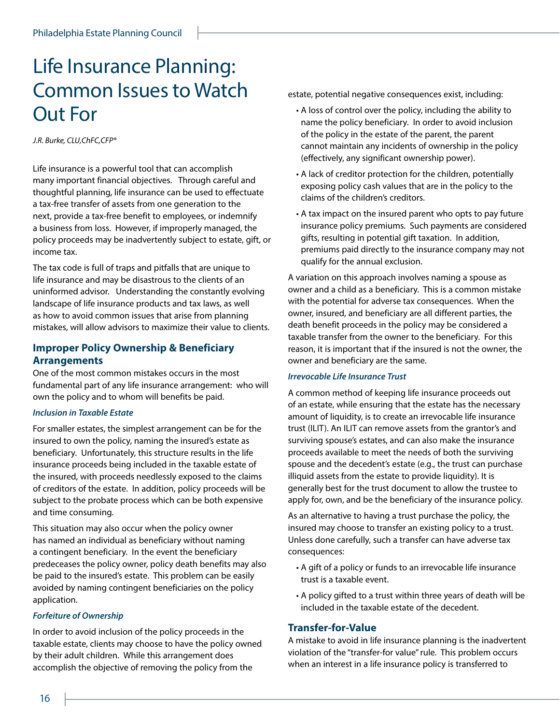### Life Insurance Planning: Common Issues to Watch Out For

*J.R. Burke, CLU,ChFC,CFP®* 

Life insurance is a powerful tool that can accomplish many important financial objectives. Through careful and thoughtful planning, life insurance can be used to effectuate a tax-free transfer of assets from one generation to the next, provide a tax-free benefit to employees, or indemnify a business from loss. However, if improperly managed, the policy proceeds may be inadvertently subject to estate, gift, or income tax.

The tax code is full of traps and pitfalls that are unique to life insurance and may be disastrous to the clients of an uninformed advisor. Understanding the constantly evolving landscape of life insurance products and tax laws, as well as how to avoid common issues that arise from planning mistakes, will allow advisors to maximize their value to clients.

#### **Improper Policy Ownership & Beneficiary Arrangements**

One of the most common mistakes occurs in the most fundamental part of any life insurance arrangement: who will own the policy and to whom will benefits be paid.

#### *Inclusion in Taxable Estate*

For smaller estates, the simplest arrangement can be for the insured to own the policy, naming the insured's estate as beneficiary. Unfortunately, this structure results in the life insurance proceeds being included in the taxable estate of the insured, with proceeds needlessly exposed to the claims of creditors of the estate. In addition, policy proceeds will be subject to the probate process which can be both expensive and time consuming.

This situation may also occur when the policy owner has named an individual as beneficiary without naming a contingent beneficiary. In the event the beneficiary predeceases the policy owner, policy death benefits may also be paid to the insured's estate. This problem can be easily avoided by naming contingent beneficiaries on the policy application.

#### *Forfeiture of Ownership*

In order to avoid inclusion of the policy proceeds in the taxable estate, clients may choose to have the policy owned by their adult children. While this arrangement does accomplish the objective of removing the policy from the

estate, potential negative consequences exist, including:

- A loss of control over the policy, including the ability to name the policy beneficiary. In order to avoid inclusion of the policy in the estate of the parent, the parent cannot maintain any incidents of ownership in the policy (effectively, any significant ownership power).
- A lack of creditor protection for the children, potentially exposing policy cash values that are in the policy to the claims of the children's creditors.
- A tax impact on the insured parent who opts to pay future insurance policy premiums. Such payments are considered gifts, resulting in potential gift taxation. In addition, premiums paid directly to the insurance company may not qualify for the annual exclusion.

A variation on this approach involves naming a spouse as owner and a child as a beneficiary. This is a common mistake with the potential for adverse tax consequences. When the owner, insured, and beneficiary are all different parties, the death benefit proceeds in the policy may be considered a taxable transfer from the owner to the beneficiary. For this reason, it is important that if the insured is not the owner, the owner and beneficiary are the same.

#### *Irrevocable Life Insurance Trust*

A common method of keeping life insurance proceeds out of an estate, while ensuring that the estate has the necessary amount of liquidity, is to create an irrevocable life insurance trust (ILIT). An ILIT can remove assets from the grantor's and surviving spouse's estates, and can also make the insurance proceeds available to meet the needs of both the surviving spouse and the decedent's estate (e.g., the trust can purchase illiquid assets from the estate to provide liquidity). It is generally best for the trust document to allow the trustee to apply for, own, and be the beneficiary of the insurance policy.

As an alternative to having a trust purchase the policy, the insured may choose to transfer an existing policy to a trust. Unless done carefully, such a transfer can have adverse tax consequences:

- A gift of a policy or funds to an irrevocable life insurance trust is a taxable event.
- A policy gifted to a trust within three years of death will be included in the taxable estate of the decedent.

#### **Transfer-for-Value**

A mistake to avoid in life insurance planning is the inadvertent violation of the "transfer-for value" rule. This problem occurs when an interest in a life insurance policy is transferred to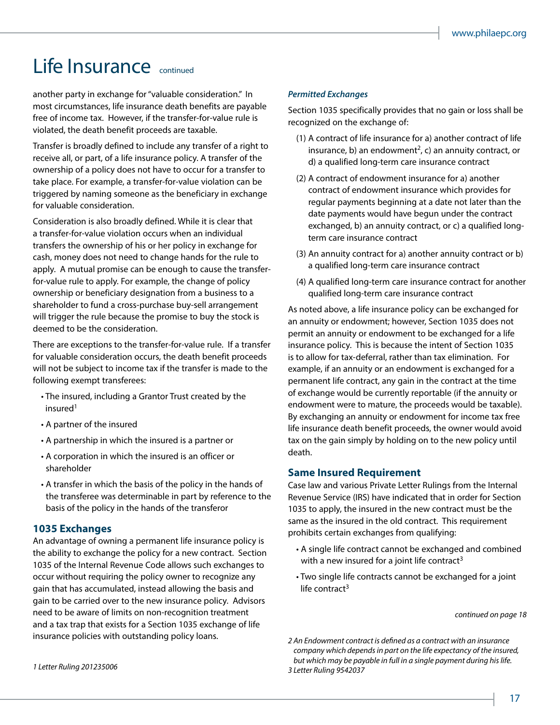### Life Insurance continued

another party in exchange for "valuable consideration." In most circumstances, life insurance death benefits are payable free of income tax. However, if the transfer-for-value rule is violated, the death benefit proceeds are taxable.

Transfer is broadly defined to include any transfer of a right to receive all, or part, of a life insurance policy. A transfer of the ownership of a policy does not have to occur for a transfer to take place. For example, a transfer-for-value violation can be triggered by naming someone as the beneficiary in exchange for valuable consideration.

Consideration is also broadly defined. While it is clear that a transfer-for-value violation occurs when an individual transfers the ownership of his or her policy in exchange for cash, money does not need to change hands for the rule to apply. A mutual promise can be enough to cause the transferfor-value rule to apply. For example, the change of policy ownership or beneficiary designation from a business to a shareholder to fund a cross-purchase buy-sell arrangement will trigger the rule because the promise to buy the stock is deemed to be the consideration.

There are exceptions to the transfer-for-value rule. If a transfer for valuable consideration occurs, the death benefit proceeds will not be subject to income tax if the transfer is made to the following exempt transferees:

- The insured, including a Grantor Trust created by the insured<sup>1</sup>
- A partner of the insured
- A partnership in which the insured is a partner or
- A corporation in which the insured is an officer or shareholder
- A transfer in which the basis of the policy in the hands of the transferee was determinable in part by reference to the basis of the policy in the hands of the transferor

#### **1035 Exchanges**

An advantage of owning a permanent life insurance policy is the ability to exchange the policy for a new contract. Section 1035 of the Internal Revenue Code allows such exchanges to occur without requiring the policy owner to recognize any gain that has accumulated, instead allowing the basis and gain to be carried over to the new insurance policy. Advisors need to be aware of limits on non-recognition treatment and a tax trap that exists for a Section 1035 exchange of life insurance policies with outstanding policy loans.

#### *Permitted Exchanges*

Section 1035 specifically provides that no gain or loss shall be recognized on the exchange of:

- (1) A contract of life insurance for a) another contract of life insurance, b) an endowment<sup>2</sup>, c) an annuity contract, or d) a qualified long-term care insurance contract
- (2) A contract of endowment insurance for a) another contract of endowment insurance which provides for regular payments beginning at a date not later than the date payments would have begun under the contract exchanged, b) an annuity contract, or c) a qualified longterm care insurance contract
- (3) An annuity contract for a) another annuity contract or b) a qualified long-term care insurance contract
- (4) A qualified long-term care insurance contract for another qualified long-term care insurance contract

As noted above, a life insurance policy can be exchanged for an annuity or endowment; however, Section 1035 does not permit an annuity or endowment to be exchanged for a life insurance policy. This is because the intent of Section 1035 is to allow for tax-deferral, rather than tax elimination. For example, if an annuity or an endowment is exchanged for a permanent life contract, any gain in the contract at the time of exchange would be currently reportable (if the annuity or endowment were to mature, the proceeds would be taxable). By exchanging an annuity or endowment for income tax free life insurance death benefit proceeds, the owner would avoid tax on the gain simply by holding on to the new policy until death.

#### **Same Insured Requirement**

Case law and various Private Letter Rulings from the Internal Revenue Service (IRS) have indicated that in order for Section 1035 to apply, the insured in the new contract must be the same as the insured in the old contract. This requirement prohibits certain exchanges from qualifying:

- A single life contract cannot be exchanged and combined with a new insured for a joint life contract<sup>3</sup>
- Two single life contracts cannot be exchanged for a joint life contract $3$

*continued on page 18*

*2 An Endowment contract is defined as a contract with an insurance company which depends in part on the life expectancy of the insured, but which may be payable in full in a single payment during his life. 3 Letter Ruling 9542037*

*1 Letter Ruling 201235006*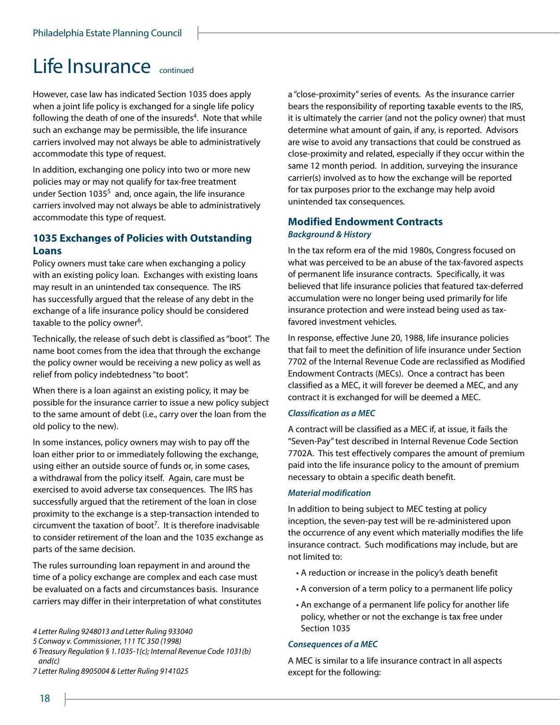### **Life Insurance** continued

However, case law has indicated Section 1035 does apply when a joint life policy is exchanged for a single life policy following the death of one of the insureds<sup>4</sup>. Note that while such an exchange may be permissible, the life insurance carriers involved may not always be able to administratively accommodate this type of request.

In addition, exchanging one policy into two or more new policies may or may not qualify for tax-free treatment under Section 1035<sup>5</sup> and, once again, the life insurance carriers involved may not always be able to administratively accommodate this type of request.

#### **1035 Exchanges of Policies with Outstanding Loans**

Policy owners must take care when exchanging a policy with an existing policy loan. Exchanges with existing loans may result in an unintended tax consequence. The IRS has successfully argued that the release of any debt in the exchange of a life insurance policy should be considered taxable to the policy owner<sup>6</sup>.

Technically, the release of such debt is classified as "boot". The name boot comes from the idea that through the exchange the policy owner would be receiving a new policy as well as relief from policy indebtedness "to boot".

When there is a loan against an existing policy, it may be possible for the insurance carrier to issue a new policy subject to the same amount of debt (i.e., carry over the loan from the old policy to the new).

In some instances, policy owners may wish to pay off the loan either prior to or immediately following the exchange, using either an outside source of funds or, in some cases, a withdrawal from the policy itself. Again, care must be exercised to avoid adverse tax consequences. The IRS has successfully argued that the retirement of the loan in close proximity to the exchange is a step-transaction intended to circumvent the taxation of boot<sup>7</sup>. It is therefore inadvisable to consider retirement of the loan and the 1035 exchange as parts of the same decision.

The rules surrounding loan repayment in and around the time of a policy exchange are complex and each case must be evaluated on a facts and circumstances basis. Insurance carriers may differ in their interpretation of what constitutes

- *5 Conway v. Commissioner, 111 TC 350 (1998)*
- *6 Treasury Regulation § 1.1035-1(c); Internal Revenue Code 1031(b) and(c)*
- *7 Letter Ruling 8905004 & Letter Ruling 9141025*

a "close-proximity" series of events. As the insurance carrier bears the responsibility of reporting taxable events to the IRS, it is ultimately the carrier (and not the policy owner) that must determine what amount of gain, if any, is reported. Advisors are wise to avoid any transactions that could be construed as close-proximity and related, especially if they occur within the same 12 month period. In addition, surveying the insurance carrier(s) involved as to how the exchange will be reported for tax purposes prior to the exchange may help avoid unintended tax consequences.

#### **Modified Endowment Contracts** *Background & History*

In the tax reform era of the mid 1980s, Congress focused on what was perceived to be an abuse of the tax-favored aspects of permanent life insurance contracts. Specifically, it was believed that life insurance policies that featured tax-deferred accumulation were no longer being used primarily for life insurance protection and were instead being used as taxfavored investment vehicles.

In response, effective June 20, 1988, life insurance policies that fail to meet the definition of life insurance under Section 7702 of the Internal Revenue Code are reclassified as Modified Endowment Contracts (MECs). Once a contract has been classified as a MEC, it will forever be deemed a MEC, and any contract it is exchanged for will be deemed a MEC.

#### *Classification as a MEC*

A contract will be classified as a MEC if, at issue, it fails the "Seven-Pay" test described in Internal Revenue Code Section 7702A. This test effectively compares the amount of premium paid into the life insurance policy to the amount of premium necessary to obtain a specific death benefit.

#### *Material modification*

In addition to being subject to MEC testing at policy inception, the seven-pay test will be re-administered upon the occurrence of any event which materially modifies the life insurance contract. Such modifications may include, but are not limited to:

- A reduction or increase in the policy's death benefit
- A conversion of a term policy to a permanent life policy
- An exchange of a permanent life policy for another life policy, whether or not the exchange is tax free under Section 1035

#### *Consequences of a MEC*

A MEC is similar to a life insurance contract in all aspects except for the following:

*<sup>4</sup> Letter Ruling 9248013 and Letter Ruling 933040*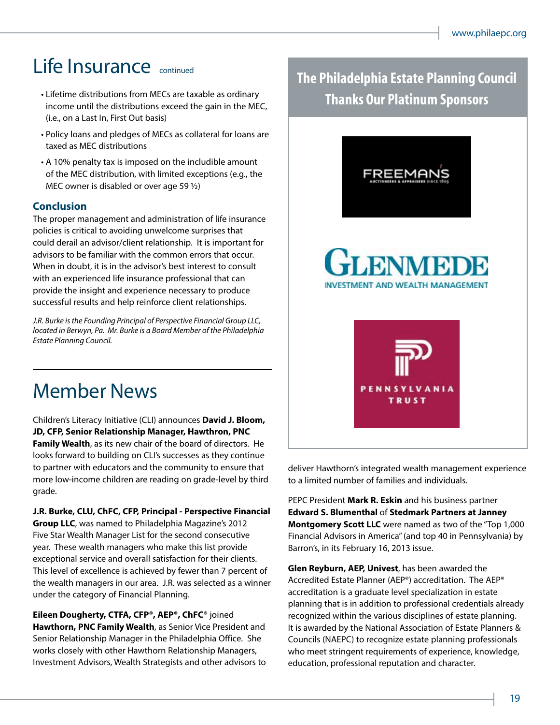### Life Insurance continued

- Lifetime distributions from MECs are taxable as ordinary income until the distributions exceed the gain in the MEC, (i.e., on a Last In, First Out basis)
- Policy loans and pledges of MECs as collateral for loans are taxed as MEC distributions
- A 10% penalty tax is imposed on the includible amount of the MEC distribution, with limited exceptions (e.g., the MEC owner is disabled or over age 59 ½)

#### **Conclusion**

The proper management and administration of life insurance policies is critical to avoiding unwelcome surprises that could derail an advisor/client relationship. It is important for advisors to be familiar with the common errors that occur. When in doubt, it is in the advisor's best interest to consult with an experienced life insurance professional that can provide the insight and experience necessary to produce successful results and help reinforce client relationships.

*J.R. Burke is the Founding Principal of Perspective Financial Group LLC, located in Berwyn, Pa. Mr. Burke is a Board Member of the Philadelphia Estate Planning Council.*

Member News

Children's Literacy Initiative (CLI) announces **David J. Bloom, JD, CFP, Senior Relationship Manager, Hawthron, PNC Family Wealth**, as its new chair of the board of directors. He looks forward to building on CLI's successes as they continue to partner with educators and the community to ensure that more low-income children are reading on grade-level by third grade.

**J.R. Burke, CLU, ChFC, CFP, Principal - Perspective Financial Group LLC**, was named to Philadelphia Magazine's 2012 Five Star Wealth Manager List for the second consecutive year. These wealth managers who make this list provide exceptional service and overall satisfaction for their clients. This level of excellence is achieved by fewer than 7 percent of the wealth managers in our area. J.R. was selected as a winner under the category of Financial Planning.

**Eileen Dougherty, CTFA, CFP®, AEP®, ChFC®** joined **Hawthorn, PNC Family Wealth**, as Senior Vice President and Senior Relationship Manager in the Philadelphia Office. She works closely with other Hawthorn Relationship Managers, Investment Advisors, Wealth Strategists and other advisors to **The Philadelphia Estate Planning Council Thanks Our Platinum Sponsors**



deliver Hawthorn's integrated wealth management experience to a limited number of families and individuals.

PEPC President **Mark R. Eskin** and his business partner **Edward S. Blumenthal** of **Stedmark Partners at Janney Montgomery Scott LLC** were named as two of the "Top 1,000 Financial Advisors in America" (and top 40 in Pennsylvania) by Barron's, in its February 16, 2013 issue.

**Glen Reyburn, AEP, Univest**, has been awarded the Accredited Estate Planner (AEP®) accreditation. The AEP® accreditation is a graduate level specialization in estate planning that is in addition to professional credentials already recognized within the various disciplines of estate planning. It is awarded by the National Association of Estate Planners & Councils (NAEPC) to recognize estate planning professionals who meet stringent requirements of experience, knowledge, education, professional reputation and character.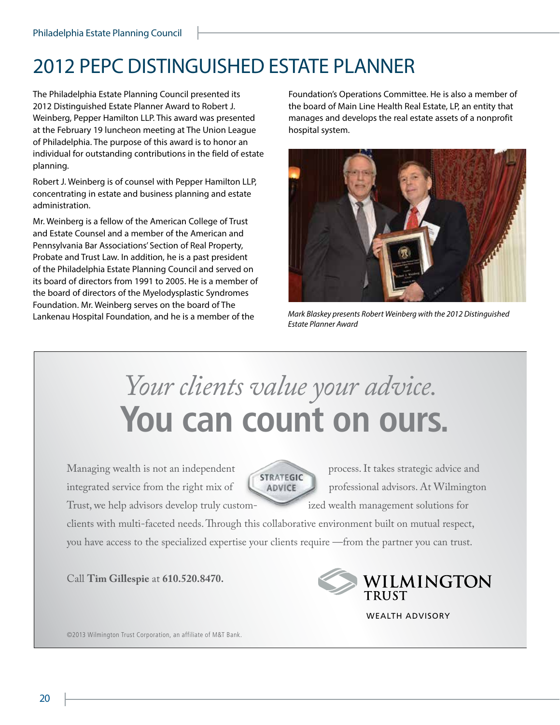## 2012 PEPC DISTINGUISHED ESTATE PLANNER

The Philadelphia Estate Planning Council presented its 2012 Distinguished Estate Planner Award to Robert J. Weinberg, Pepper Hamilton LLP. This award was presented at the February 19 luncheon meeting at The Union League of Philadelphia. The purpose of this award is to honor an individual for outstanding contributions in the field of estate planning.

Robert J. Weinberg is of counsel with Pepper Hamilton LLP, concentrating in estate and business planning and estate administration.

Mr. Weinberg is a fellow of the American College of Trust and Estate Counsel and a member of the American and Pennsylvania Bar Associations' Section of Real Property, Probate and Trust Law. In addition, he is a past president of the Philadelphia Estate Planning Council and served on its board of directors from 1991 to 2005. He is a member of the board of directors of the Myelodysplastic Syndromes Foundation. Mr. Weinberg serves on the board of The Lankenau Hospital Foundation, and he is a member of the

Foundation's Operations Committee. He is also a member of the board of Main Line Health Real Estate, LP, an entity that manages and develops the real estate assets of a nonprofit hospital system.



*Mark Blaskey presents Robert Weinberg with the 2012 Distinguished Estate Planner Award*

# *Your clients value your advice.*  **You can count on ours.**

Managing wealth is not an independent **STRATEGIC** process. It takes strategic advice and integrated service from the right mix of  $\Box$  ADVICE professional advisors. At Wilmington



Trust, we help advisors develop truly custom- ized wealth management solutions for

clients with multi-faceted needs. Through this collaborative environment built on mutual respect, you have access to the specialized expertise your clients require —from the partner you can trust.

Call **Tim Gillespie** at **610.520.8470.**



WEALTH ADVISORY

©2013 Wilmington Trust Corporation, an affiliate of M&T Bank.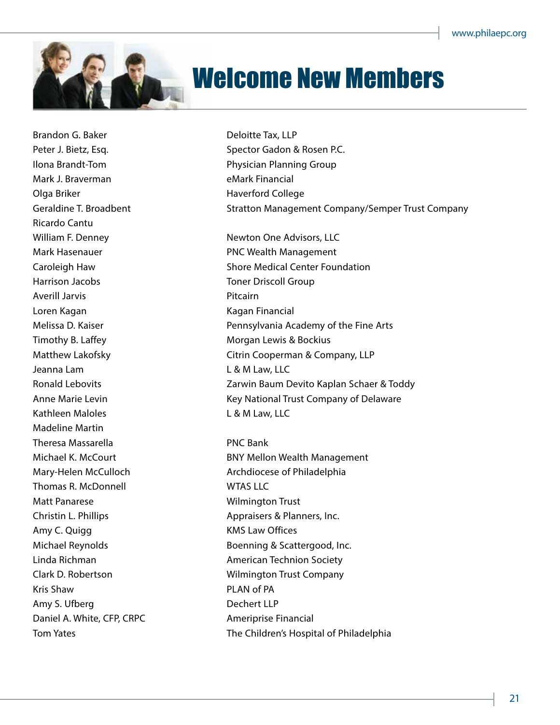

## Welcome New Members

Brandon G. Baker Deloitte Tax, LLP Mark J. Braverman eMark Financial Olga Briker **Haverford College** Ricardo Cantu Harrison Jacobs Toner Driscoll Group Averill Jarvis **Averill** Jarvis **Pitcairn** Loren Kagan **Kagan Kagan Kagan Kagan Kagan Kagan** Kagan Kinancial Timothy B. Laffey Timothy B. Laffey Jeanna Lam Law, LLC Kathleen Maloles **L** & M Law, LLC Madeline Martin Theresa Massarella PNC Bank Thomas R. McDonnell WTAS LLC Matt Panarese **Matt Panarese** Wilmington Trust Amy C. Quigg **KMS** Law Offices Kris Shaw **PLAN of PA** Amy S. Ufberg **Dechert LLP** Daniel A. White, CFP, CRPC Ameriprise Financial

Peter J. Bietz, Esq. Spector Gadon & Rosen P.C. Ilona Brandt-Tom **Physician Planning Group** Geraldine T. Broadbent **Stratton Management Company/Semper Trust Company** William F. Denney Newton One Advisors, LLC Mark Hasenauer **PNC Wealth Management** Caroleigh Haw Shore Medical Center Foundation Melissa D. Kaiser Pennsylvania Academy of the Fine Arts Matthew Lakofsky **Charlot Citrin Cooperman & Company, LLP** Ronald Lebovits **Exercise 2** Exercise 2 Zarwin Baum Devito Kaplan Schaer & Toddy Anne Marie Levin **Anne Marie Levin** Key National Trust Company of Delaware

Michael K. McCourt **BNY Mellon Wealth Management** Mary-Helen McCulloch **Archoicese of Philadelphia** Christin L. Phillips **Appraisers & Planners**, Inc. Michael Reynolds Boenning & Scattergood, Inc. Linda Richman **American Technion Society** Clark D. Robertson Wilmington Trust Company Tom Yates The Children's Hospital of Philadelphia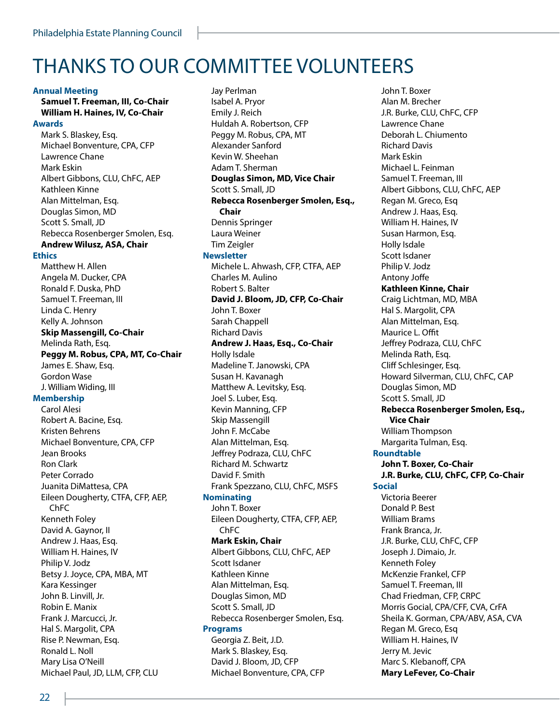### Thanks to our committee volunteers

#### **Annual Meeting**

**Samuel T. Freeman, III, Co-Chair William H. Haines, IV, Co-Chair Awards**

Mark S. Blaskey, Esq. Michael Bonventure, CPA, CFP Lawrence Chane Mark Eskin Albert Gibbons, CLU, ChFC, AEP Kathleen Kinne Alan Mittelman, Esq. Douglas Simon, MD Scott S. Small, JD Rebecca Rosenberger Smolen, Esq. **Andrew Wilusz, ASA, Chair Ethics** Matthew H. Allen Angela M. Ducker, CPA Ronald F. Duska, PhD Samuel T. Freeman, III Linda C. Henry Kelly A. Johnson **Skip Massengill, Co-Chair** Melinda Rath, Esq. **Peggy M. Robus, CPA, MT, Co-Chair** James E. Shaw, Esq. Gordon Wase J. William Widing, III **Membership** Carol Alesi Robert A. Bacine, Esq. Kristen Behrens Michael Bonventure, CPA, CFP Jean Brooks Ron Clark Peter Corrado Juanita DiMattesa, CPA Eileen Dougherty, CTFA, CFP, AEP, ChFC Kenneth Foley David A. Gaynor, II Andrew J. Haas, Esq. William H. Haines, IV Philip V. Jodz Betsy J. Joyce, CPA, MBA, MT Kara Kessinger John B. Linvill, Jr.

Jay Perlman Isabel A. Pryor Emily J. Reich Huldah A. Robertson, CFP Peggy M. Robus, CPA, MT Alexander Sanford Kevin W. Sheehan Adam T. Sherman **Douglas Simon, MD, Vice Chair** Scott S. Small, JD **Rebecca Rosenberger Smolen, Esq., Chair** Dennis Springer Laura Weiner Tim Zeigler **Newsletter** Michele L. Ahwash, CFP, CTFA, AEP Charles M. Aulino Robert S. Balter **David J. Bloom, JD, CFP, Co-Chair** John T. Boxer Sarah Chappell Richard Davis **Andrew J. Haas, Esq., Co-Chair** Holly Isdale Madeline T. Janowski, CPA Susan H. Kavanagh Matthew A. Levitsky, Esq. Joel S. Luber, Esq. Kevin Manning, CFP Skip Massengill John F. McCabe Alan Mittelman, Esq. Jeffrey Podraza, CLU, ChFC Richard M. Schwartz David F. Smith Frank Spezzano, CLU, ChFC, MSFS **Nominating**  John T. Boxer Eileen Dougherty, CTFA, CFP, AEP, ChFC **Mark Eskin, Chair** Albert Gibbons, CLU, ChFC, AEP Scott Isdaner Kathleen Kinne Alan Mittelman, Esq. Douglas Simon, MD Scott S. Small, JD Rebecca Rosenberger Smolen, Esq. **Programs** Georgia Z. Beit, J.D. Mark S. Blaskey, Esq. David J. Bloom, JD, CFP Michael Bonventure, CPA, CFP

John T. Boxer Alan M. Brecher J.R. Burke, CLU, ChFC, CFP Lawrence Chane Deborah L. Chiumento Richard Davis Mark Eskin Michael L. Feinman Samuel T. Freeman, III Albert Gibbons, CLU, ChFC, AEP Regan M. Greco, Esq Andrew J. Haas, Esq. William H. Haines, IV Susan Harmon, Esq. Holly Isdale Scott Isdaner Philip V. Jodz Antony Joffe **Kathleen Kinne, Chair** Craig Lichtman, MD, MBA Hal S. Margolit, CPA Alan Mittelman, Esq. Maurice L. Offit Jeffrey Podraza, CLU, ChFC Melinda Rath, Esq. Cliff Schlesinger, Esq. Howard Silverman, CLU, ChFC, CAP Douglas Simon, MD Scott S. Small, JD **Rebecca Rosenberger Smolen, Esq., Vice Chair** William Thompson Margarita Tulman, Esq. **Roundtable John T. Boxer, Co-Chair J.R. Burke, CLU, ChFC, CFP, Co-Chair Social** Victoria Beerer Donald P. Best William Brams Frank Branca, Jr. J.R. Burke, CLU, ChFC, CFP Joseph J. Dimaio, Jr. Kenneth Foley McKenzie Frankel, CFP Samuel T. Freeman, III Chad Friedman, CFP, CRPC Morris Gocial, CPA/CFF, CVA, CrFA Sheila K. Gorman, CPA/ABV, ASA, CVA Regan M. Greco, Esq William H. Haines, IV Jerry M. Jevic Marc S. Klebanoff, CPA **Mary LeFever, Co-Chair**

Robin E. Manix Frank J. Marcucci, Jr. Hal S. Margolit, CPA Rise P. Newman, Esq. Ronald L. Noll Mary Lisa O'Neill

Michael Paul, JD, LLM, CFP, CLU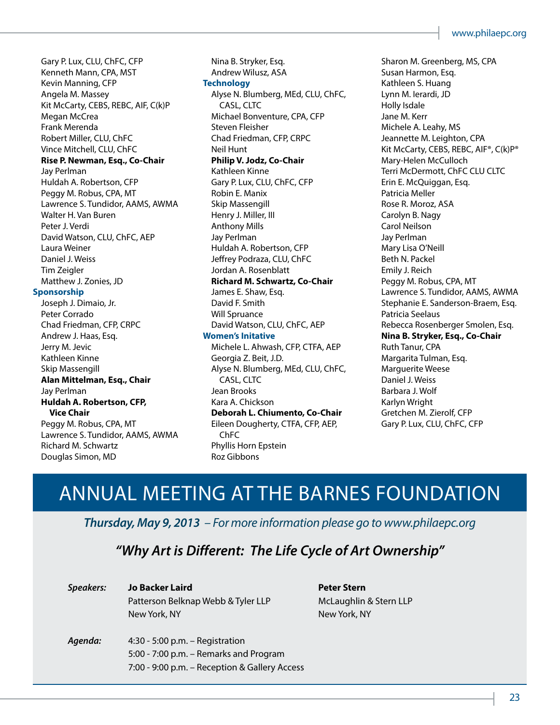Gary P. Lux, CLU, ChFC, CFP Kenneth Mann, CPA, MST Kevin Manning, CFP Angela M. Massey Kit McCarty, CEBS, REBC, AIF, C(k)P Megan McCrea Frank Merenda Robert Miller, CLU, ChFC Vince Mitchell, CLU, ChFC **Rise P. Newman, Esq., Co-Chair** Jay Perlman Huldah A. Robertson, CFP Peggy M. Robus, CPA, MT Lawrence S. Tundidor, AAMS, AWMA Walter H. Van Buren Peter J. Verdi David Watson, CLU, ChFC, AEP Laura Weiner Daniel J. Weiss Tim Zeigler Matthew J. Zonies, JD

#### **Sponsorship**

Joseph J. Dimaio, Jr. Peter Corrado Chad Friedman, CFP, CRPC Andrew J. Haas, Esq. Jerry M. Jevic Kathleen Kinne Skip Massengill **Alan Mittelman, Esq., Chair** Jay Perlman **Huldah A. Robertson, CFP, Vice Chair** Peggy M. Robus, CPA, MT Lawrence S. Tundidor, AAMS, AWMA Richard M. Schwartz Douglas Simon, MD

Nina B. Stryker, Esq. Andrew Wilusz, ASA **Technology** Alyse N. Blumberg, MEd, CLU, ChFC, CASL, CLTC Michael Bonventure, CPA, CFP Steven Fleisher Chad Friedman, CFP, CRPC Neil Hunt **Philip V. Jodz, Co-Chair** Kathleen Kinne Gary P. Lux, CLU, ChFC, CFP Robin E. Manix Skip Massengill Henry J. Miller, III Anthony Mills Jay Perlman Huldah A. Robertson, CFP Jeffrey Podraza, CLU, ChFC Jordan A. Rosenblatt **Richard M. Schwartz, Co-Chair** James E. Shaw, Esq. David F. Smith Will Spruance David Watson, CLU, ChFC, AEP **Women's Initative** Michele L. Ahwash, CFP, CTFA, AEP Georgia Z. Beit, J.D. Alyse N. Blumberg, MEd, CLU, ChFC, CASL, CLTC Jean Brooks Kara A. Chickson **Deborah L. Chiumento, Co-Chair** Eileen Dougherty, CTFA, CFP, AEP, ChFC Phyllis Horn Epstein Roz Gibbons

Sharon M. Greenberg, MS, CPA Susan Harmon, Esq. Kathleen S. Huang Lynn M. Ierardi, JD Holly Isdale Jane M. Kerr Michele A. Leahy, MS Jeannette M. Leighton, CPA Kit McCarty, CEBS, REBC, AIF®, C(k)P® Mary-Helen McCulloch Terri McDermott, ChFC CLU CLTC Erin E. McQuiggan, Esq. Patricia Meller Rose R. Moroz, ASA Carolyn B. Nagy Carol Neilson Jay Perlman Mary Lisa O'Neill Beth N. Packel Emily J. Reich Peggy M. Robus, CPA, MT Lawrence S. Tundidor, AAMS, AWMA Stephanie E. Sanderson-Braem, Esq. Patricia Seelaus Rebecca Rosenberger Smolen, Esq. **Nina B. Stryker, Esq., Co-Chair** Ruth Tanur, CPA Margarita Tulman, Esq. Marguerite Weese Daniel J. Weiss Barbara J. Wolf Karlyn Wright Gretchen M. Zierolf, CFP Gary P. Lux, CLU, ChFC, CFP

### ANNUAL MEETING AT THE BARNES FOUNDATION

*Thursday, May 9, 2013 – For more information please go to www.philaepc.org*

### *"Why Art is Different: The Life Cycle of Art Ownership"*

| Speakers: | Jo Backer Laird                               |
|-----------|-----------------------------------------------|
|           | Patterson Belknap Webb & Tyler LLP            |
|           | New York, NY                                  |
|           |                                               |
| Agenda:   | $4:30 - 5:00$ p.m. - Registration             |
|           | 5:00 - 7:00 p.m. - Remarks and Program        |
|           | 7:00 - 9:00 p.m. - Reception & Gallery Access |

**Peter Stern** McLaughlin & Stern LLP New York, NY